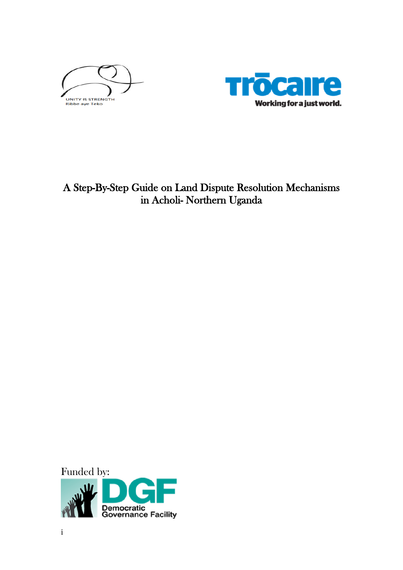



# A Step-By-Step Guide on Land Dispute Resolution Mechanisms in Acholi- Northern Uganda

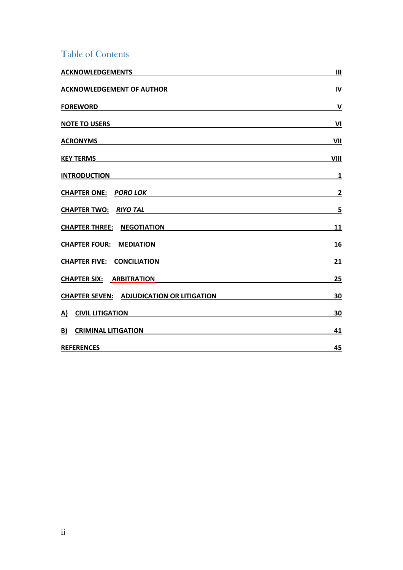## Table of Contents

| <b>ACKNOWLEDGEMENTS</b>                                                                                                                                                                                                                              | $\mathbf{III}$          |
|------------------------------------------------------------------------------------------------------------------------------------------------------------------------------------------------------------------------------------------------------|-------------------------|
| <b>ACKNOWLEDGEMENT OF AUTHOR</b>                                                                                                                                                                                                                     | IV                      |
| <b>FOREWORD</b><br><u> 1989 - Johann Stein, Amerikaansk politiker († 1908)</u>                                                                                                                                                                       | $\mathsf{V}$            |
| <b>NOTE TO USERS</b>                                                                                                                                                                                                                                 | VI                      |
| <b>ACRONYMS</b>                                                                                                                                                                                                                                      | VII                     |
| <b>KEY TERMS</b>                                                                                                                                                                                                                                     | VIII                    |
| <b>INTRODUCTION</b><br>the control of the control of the control of the control of the control of the control of the control of the control of the control of the control of the control of the control of the control of the control of the control | $\mathbf{1}$            |
| <b>CHAPTER ONE: PORO LOK</b>                                                                                                                                                                                                                         | $\overline{2}$          |
| <b>CHAPTER TWO:</b><br><b>RIYO TAL</b>                                                                                                                                                                                                               | $\overline{\mathbf{5}}$ |
| <b>CHAPTER THREE: NEGOTIATION</b>                                                                                                                                                                                                                    | 11                      |
| <b>CHAPTER FOUR: MEDIATION</b>                                                                                                                                                                                                                       | 16                      |
| <b>CHAPTER FIVE:</b><br><b>CONCILIATION</b>                                                                                                                                                                                                          | 21                      |
| <b>CHAPTER SIX: ARBITRATION</b>                                                                                                                                                                                                                      | 25                      |
| <u>CHAPTER SEVEN: ADJUDICATION OR LITIGATION</u>                                                                                                                                                                                                     | 30                      |
| <b>CIVIL LITIGATION</b><br><u>A)</u>                                                                                                                                                                                                                 | 30                      |
| B)<br><b>CRIMINAL LITIGATION</b>                                                                                                                                                                                                                     | 41                      |
| <b>REFERENCES</b>                                                                                                                                                                                                                                    | 45                      |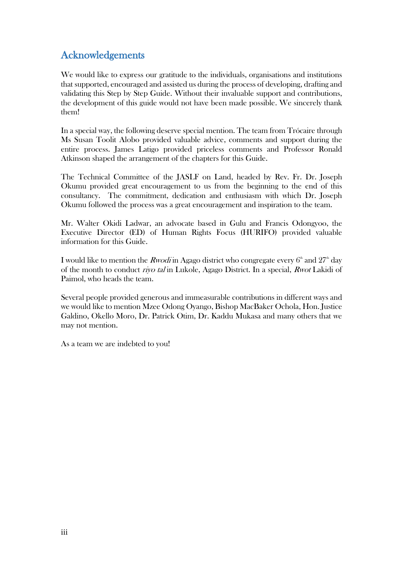## <span id="page-2-0"></span>Acknowledgements

We would like to express our gratitude to the individuals, organisations and institutions that supported, encouraged and assisted us during the process of developing, drafting and validating this Step by Step Guide. Without their invaluable support and contributions, the development of this guide would not have been made possible. We sincerely thank them!

In a special way, the following deserve special mention. The team from Trócaire through Ms Susan Toolit Alobo provided valuable advice, comments and support during the entire process. James Latigo provided priceless comments and Professor Ronald Atkinson shaped the arrangement of the chapters for this Guide.

The Technical Committee of the JASLF on Land, headed by Rev. Fr. Dr. Joseph Okumu provided great encouragement to us from the beginning to the end of this consultancy. The commitment, dedication and enthusiasm with which Dr. Joseph Okumu followed the process was a great encouragement and inspiration to the team.

Mr. Walter Okidi Ladwar, an advocate based in Gulu and Francis Odongyoo, the Executive Director (ED) of Human Rights Focus (HURIFO) provided valuable information for this Guide.

**I** would like to mention the  $\pmb{R}$ wodi'in Agago district who congregate every  $6^\text{\tiny th}$  and  $27^\text{\tiny th}$  day of the month to conduct riyo tal in Lukole, Agago District. In a special, Rwot Lakidi of Paimol, who heads the team.

Several people provided generous and immeasurable contributions in different ways and we would like to mention Mzee Odong Oyango, Bishop MacBaker Ochola, Hon. Justice Galdino, Okello Moro, Dr. Patrick Otim, Dr. Kaddu Mukasa and many others that we may not mention.

As a team we are indebted to you!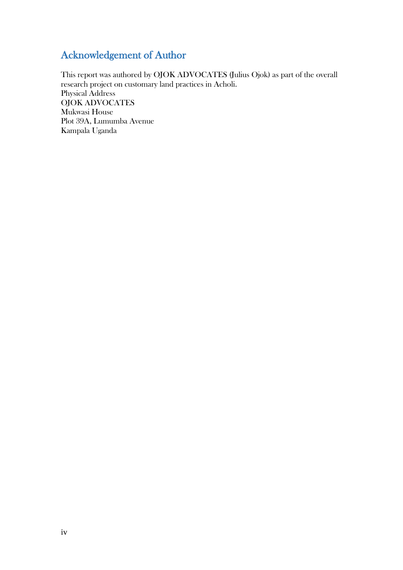## <span id="page-3-0"></span>Acknowledgement of Author

This report was authored by OJOK ADVOCATES (Julius Ojok) as part of the overall research project on customary land practices in Acholi. Physical Address OJOK ADVOCATES Mukwasi House Plot 39A, Lumumba Avenue Kampala Uganda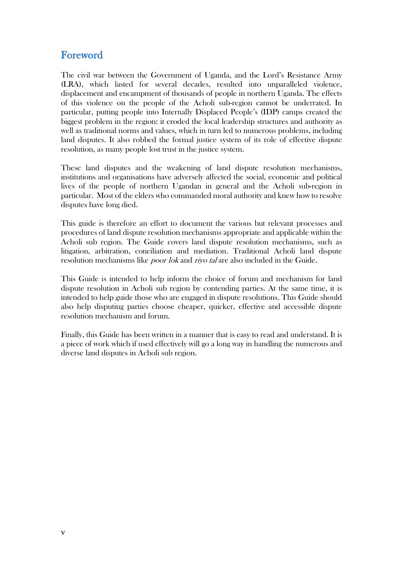## <span id="page-4-0"></span>Foreword

The civil war between the Government of Uganda, and the Lord's Resistance Army (LRA), which lasted for several decades, resulted into unparalleled violence, displacement and encampment of thousands of people in northern Uganda. The effects of this violence on the people of the Acholi sub-region cannot be underrated. In particular, putting people into Internally Displaced People's (IDP) camps created the biggest problem in the region: it eroded the local leadership structures and authority as well as traditional norms and values, which in turn led to numerous problems, including land disputes. It also robbed the formal justice system of its role of effective dispute resolution, as many people lost trust in the justice system.

These land disputes and the weakening of land dispute resolution mechanisms, institutions and organisations have adversely affected the social, economic and political lives of the people of northern Ugandan in general and the Acholi sub-region in particular. Most of the elders who commanded moral authority and knew how to resolve disputes have long died.

This guide is therefore an effort to document the various but relevant processes and procedures of land dispute resolution mechanisms appropriate and applicable within the Acholi sub region. The Guide covers land dispute resolution mechanisms, such as litigation, arbitration, conciliation and mediation. Traditional Acholi land dispute resolution mechanisms like *poor lok* and *riyo tal* are also included in the Guide.

This Guide is intended to help inform the choice of forum and mechanism for land dispute resolution in Acholi sub region by contending parties. At the same time, it is intended to help guide those who are engaged in dispute resolutions. This Guide should also help disputing parties choose cheaper, quicker, effective and accessible dispute resolution mechanism and forum.

Finally, this Guide has been written in a manner that is easy to read and understand. It is a piece of work which if used effectively will go a long way in handling the numerous and diverse land disputes in Acholi sub region.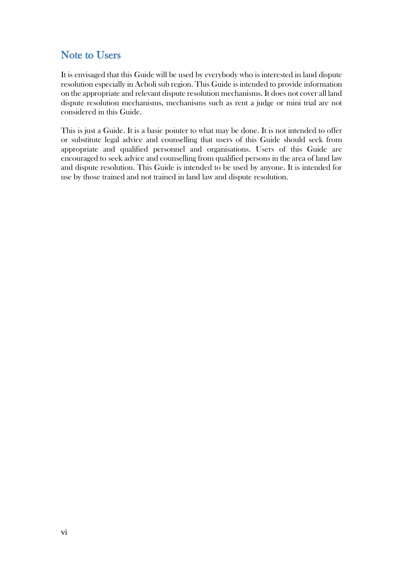## <span id="page-5-0"></span>Note to Users

It is envisaged that this Guide will be used by everybody who is interested in land dispute resolution especially in Acholi sub region. This Guide is intended to provide information on the appropriate and relevant dispute resolution mechanisms. It does not cover all land dispute resolution mechanisms, mechanisms such as rent a judge or mini trial are not considered in this Guide.

This is just a Guide. It is a basic pointer to what may be done. It is not intended to offer or substitute legal advice and counselling that users of this Guide should seek from appropriate and qualified personnel and organisations. Users of this Guide are encouraged to seek advice and counselling from qualified persons in the area of land law and dispute resolution. This Guide is intended to be used by anyone. It is intended for use by those trained and not trained in land law and dispute resolution.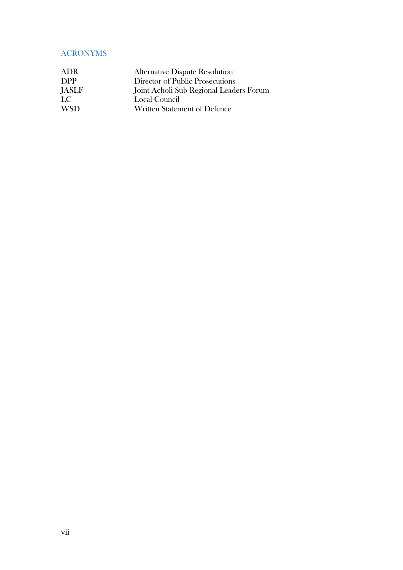### <span id="page-6-0"></span>ACRONYMS

| <b>ADR</b> | <b>Alternative Dispute Resolution</b>   |
|------------|-----------------------------------------|
| <b>DPP</b> | Director of Public Prosecutions         |
| JASLF      | Joint Acholi Sub Regional Leaders Forum |
| LC         | Local Council                           |
| <b>WSD</b> | Written Statement of Defence            |
|            |                                         |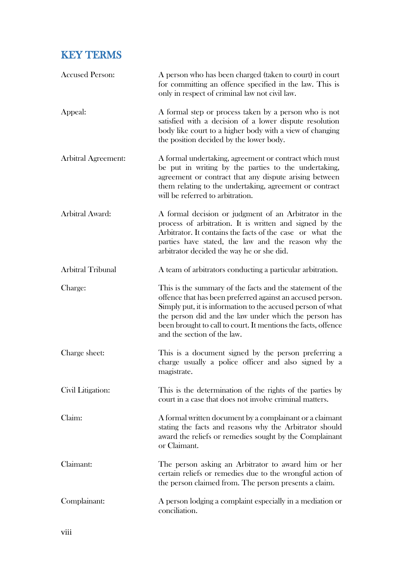# <span id="page-7-0"></span>KEY TERMS

| <b>Accused Person:</b>     | A person who has been charged (taken to court) in court<br>for committing an offence specified in the law. This is<br>only in respect of criminal law not civil law.                                                                                                                                                                            |
|----------------------------|-------------------------------------------------------------------------------------------------------------------------------------------------------------------------------------------------------------------------------------------------------------------------------------------------------------------------------------------------|
| Appeal:                    | A formal step or process taken by a person who is not<br>satisfied with a decision of a lower dispute resolution<br>body like court to a higher body with a view of changing<br>the position decided by the lower body.                                                                                                                         |
| <b>Arbitral Agreement:</b> | A formal undertaking, agreement or contract which must<br>be put in writing by the parties to the undertaking,<br>agreement or contract that any dispute arising between<br>them relating to the undertaking, agreement or contract<br>will be referred to arbitration.                                                                         |
| Arbitral Award:            | A formal decision or judgment of an Arbitrator in the<br>process of arbitration. It is written and signed by the<br>Arbitrator. It contains the facts of the case or what the<br>parties have stated, the law and the reason why the<br>arbitrator decided the way he or she did.                                                               |
| <b>Arbitral Tribunal</b>   | A team of arbitrators conducting a particular arbitration.                                                                                                                                                                                                                                                                                      |
| Charge:                    | This is the summary of the facts and the statement of the<br>offence that has been preferred against an accused person.<br>Simply put, it is information to the accused person of what<br>the person did and the law under which the person has<br>been brought to call to court. It mentions the facts, offence<br>and the section of the law. |
| Charge sheet:              | This is a document signed by the person preferring a<br>charge usually a police officer and also signed by a<br>magistrate.                                                                                                                                                                                                                     |
| Civil Litigation:          | This is the determination of the rights of the parties by<br>court in a case that does not involve criminal matters.                                                                                                                                                                                                                            |
| Claim:                     | A formal written document by a complainant or a claimant<br>stating the facts and reasons why the Arbitrator should<br>award the reliefs or remedies sought by the Complainant<br>or Claimant.                                                                                                                                                  |
| Claimant:                  | The person asking an Arbitrator to award him or her<br>certain reliefs or remedies due to the wrongful action of<br>the person claimed from. The person presents a claim.                                                                                                                                                                       |
| Complainant:               | A person lodging a complaint especially in a mediation or<br>conciliation.                                                                                                                                                                                                                                                                      |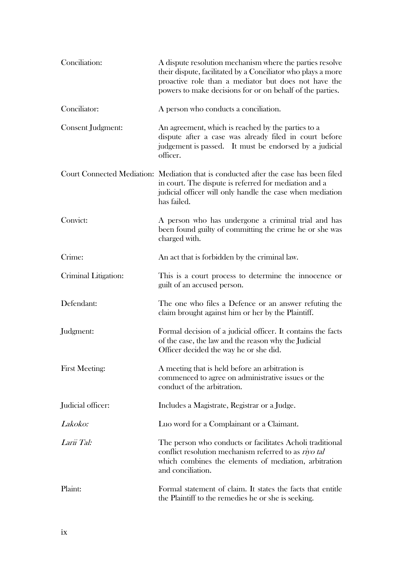| Conciliation:         | A dispute resolution mechanism where the parties resolve<br>their dispute, facilitated by a Conciliator who plays a more<br>proactive role than a mediator but does not have the<br>powers to make decisions for or on behalf of the parties. |
|-----------------------|-----------------------------------------------------------------------------------------------------------------------------------------------------------------------------------------------------------------------------------------------|
| Conciliator:          | A person who conducts a conciliation.                                                                                                                                                                                                         |
| Consent Judgment:     | An agreement, which is reached by the parties to a<br>dispute after a case was already filed in court before<br>judgement is passed. It must be endorsed by a judicial<br>officer.                                                            |
|                       | Court Connected Mediation: Mediation that is conducted after the case has been filed<br>in court. The dispute is referred for mediation and a<br>judicial officer will only handle the case when mediation<br>has failed.                     |
| Convict:              | A person who has undergone a criminal trial and has<br>been found guilty of committing the crime he or she was<br>charged with.                                                                                                               |
| Crime:                | An act that is forbidden by the criminal law.                                                                                                                                                                                                 |
| Criminal Litigation:  | This is a court process to determine the innocence or<br>guilt of an accused person.                                                                                                                                                          |
| Defendant:            | The one who files a Defence or an answer refuting the<br>claim brought against him or her by the Plaintiff.                                                                                                                                   |
| Judgment:             | Formal decision of a judicial officer. It contains the facts<br>of the case, the law and the reason why the Judicial<br>Officer decided the way he or she did.                                                                                |
| <b>First Meeting:</b> | A meeting that is held before an arbitration is<br>commenced to agree on administrative issues or the<br>conduct of the arbitration.                                                                                                          |
| Judicial officer:     | Includes a Magistrate, Registrar or a Judge.                                                                                                                                                                                                  |
| Lakoko:               | Luo word for a Complainant or a Claimant.                                                                                                                                                                                                     |
| Larii Tal:            | The person who conducts or facilitates Acholi traditional<br>conflict resolution mechanism referred to as riyo tal<br>which combines the elements of mediation, arbitration<br>and conciliation.                                              |
| Plaint:               | Formal statement of claim. It states the facts that entitle<br>the Plaintiff to the remedies he or she is seeking.                                                                                                                            |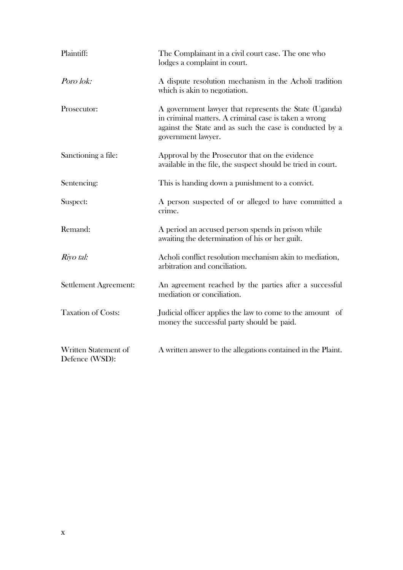| Plaintiff:                             | The Complainant in a civil court case. The one who<br>lodges a complaint in court.                                                                                                                |
|----------------------------------------|---------------------------------------------------------------------------------------------------------------------------------------------------------------------------------------------------|
| Poro lok:                              | A dispute resolution mechanism in the Acholi tradition<br>which is akin to negotiation.                                                                                                           |
| Prosecutor:                            | A government lawyer that represents the State (Uganda)<br>in criminal matters. A criminal case is taken a wrong<br>against the State and as such the case is conducted by a<br>government lawyer. |
| Sanctioning a file:                    | Approval by the Prosecutor that on the evidence<br>available in the file, the suspect should be tried in court.                                                                                   |
| Sentencing:                            | This is handing down a punishment to a convict.                                                                                                                                                   |
| Suspect:                               | A person suspected of or alleged to have committed a<br>crime.                                                                                                                                    |
| Remand:                                | A period an accused person spends in prison while<br>awaiting the determination of his or her guilt.                                                                                              |
| Riyo tal:                              | Acholi conflict resolution mechanism akin to mediation,<br>arbitration and conciliation.                                                                                                          |
| Settlement Agreement:                  | An agreement reached by the parties after a successful<br>mediation or conciliation.                                                                                                              |
| <b>Taxation of Costs:</b>              | Judicial officer applies the law to come to the amount of<br>money the successful party should be paid.                                                                                           |
| Written Statement of<br>Defence (WSD): | A written answer to the allegations contained in the Plaint.                                                                                                                                      |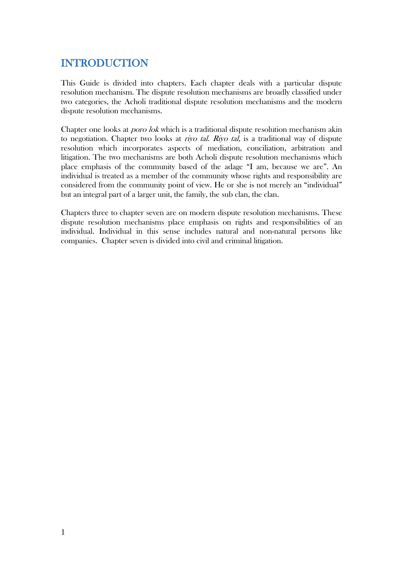## <span id="page-10-0"></span>INTRODUCTION

This Guide is divided into chapters. Each chapter deals with a particular dispute resolution mechanism. The dispute resolution mechanisms are broadly classified under two categories, the Acholi traditional dispute resolution mechanisms and the modern dispute resolution mechanisms.

Chapter one looks at poro lok which is a traditional dispute resolution mechanism akin to negotiation. Chapter two looks at *rivo tal. Riyo tal*, is a traditional way of dispute resolution which incorporates aspects of mediation, conciliation, arbitration and litigation. The two mechanisms are both Acholi dispute resolution mechanisms which place emphasis of the community based of the adage "I am, because we are". An individual is treated as a member of the community whose rights and responsibility are considered from the community point of view. He or she is not merely an "individual" but an integral part of a larger unit, the family, the sub clan, the clan.

Chapters three to chapter seven are on modern dispute resolution mechanisms. These dispute resolution mechanisms place emphasis on rights and responsibilities of an individual. Individual in this sense includes natural and non-natural persons like companies. Chapter seven is divided into civil and criminal litigation.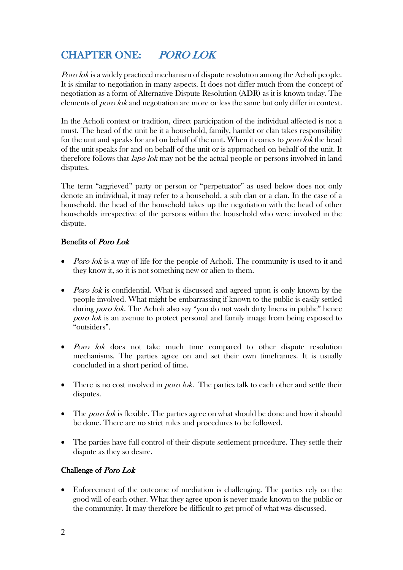# <span id="page-11-0"></span>CHAPTER ONE: PORO LOK

*Poro lok* is a widely practiced mechanism of dispute resolution among the Acholi people. It is similar to negotiation in many aspects. It does not differ much from the concept of negotiation as a form of Alternative Dispute Resolution (ADR) as it is known today. The elements of poro lok and negotiation are more or less the same but only differ in context.

In the Acholi context or tradition, direct participation of the individual affected is not a must. The head of the unit be it a household, family, hamlet or clan takes responsibility for the unit and speaks for and on behalf of the unit. When it comes to *poro lok* the head of the unit speaks for and on behalf of the unit or is approached on behalf of the unit. It therefore follows that *lapo lok* may not be the actual people or persons involved in land disputes.

The term "aggrieved" party or person or "perpetuator" as used below does not only denote an individual, it may refer to a household, a sub clan or a clan. In the case of a household, the head of the household takes up the negotiation with the head of other households irrespective of the persons within the household who were involved in the dispute.

### Benefits of Poro Lok

- *Poro lok* is a way of life for the people of Acholi. The community is used to it and they know it, so it is not something new or alien to them.
- *Poro lok* is confidential. What is discussed and agreed upon is only known by the people involved. What might be embarrassing if known to the public is easily settled during *poro lok*. The Acholi also say "you do not wash dirty linens in public" hence poro lok is an avenue to protect personal and family image from being exposed to "outsiders".
- Poro lok does not take much time compared to other dispute resolution mechanisms. The parties agree on and set their own timeframes. It is usually concluded in a short period of time.
- $\bullet$  There is no cost involved in *poro lok*. The parties talk to each other and settle their disputes.
- The *poro lok* is flexible. The parties agree on what should be done and how it should be done. There are no strict rules and procedures to be followed.
- The parties have full control of their dispute settlement procedure. They settle their dispute as they so desire.

### Challenge of Poro Lok

 Enforcement of the outcome of mediation is challenging. The parties rely on the good will of each other. What they agree upon is never made known to the public or the community. It may therefore be difficult to get proof of what was discussed.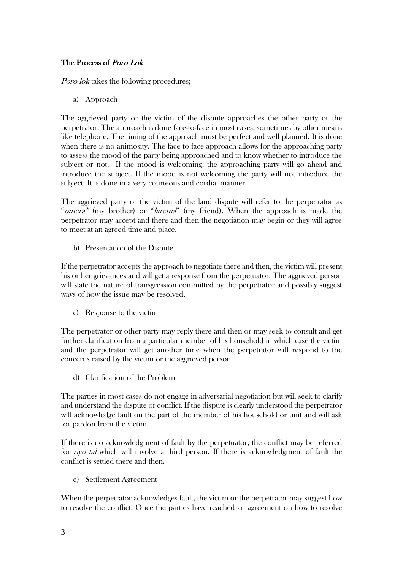### The Process of Poro Lok

Poro lok takes the following procedures;

a) Approach

The aggrieved party or the victim of the dispute approaches the other party or the perpetrator. The approach is done face-to-face in most cases, sometimes by other means like telephone. The timing of the approach must be perfect and well planned. It is done when there is no animosity. The face to face approach allows for the approaching party to assess the mood of the party being approached and to know whether to introduce the subject or not. If the mood is welcoming, the approaching party will go ahead and introduce the subject. If the mood is not welcoming the party will not introduce the subject. It is done in a very courteous and cordial manner.

The aggrieved party or the victim of the land dispute will refer to the perpetrator as "*omera"* (my brother) or "*larema*" (my friend). When the approach is made the perpetrator may accept and there and then the negotiation may begin or they will agree to meet at an agreed time and place.

b) Presentation of the Dispute

If the perpetrator accepts the approach to negotiate there and then, the victim will present his or her grievances and will get a response from the perpetuator. The aggrieved person will state the nature of transgression committed by the perpetrator and possibly suggest ways of how the issue may be resolved.

c) Response to the victim

The perpetrator or other party may reply there and then or may seek to consult and get further clarification from a particular member of his household in which case the victim and the perpetrator will get another time when the perpetrator will respond to the concerns raised by the victim or the aggrieved person.

d) Clarification of the Problem

The parties in most cases do not engage in adversarial negotiation but will seek to clarify and understand the dispute or conflict. If the dispute is clearly understood the perpetrator will acknowledge fault on the part of the member of his household or unit and will ask for pardon from the victim.

If there is no acknowledgment of fault by the perpetuator, the conflict may be referred for riyo tal which will involve a third person. If there is acknowledgment of fault the conflict is settled there and then.

e) Settlement Agreement

When the perpetrator acknowledges fault, the victim or the perpetrator may suggest how to resolve the conflict. Once the parties have reached an agreement on how to resolve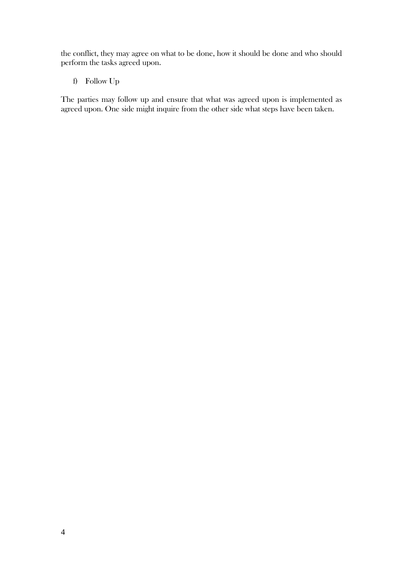the conflict, they may agree on what to be done, how it should be done and who should perform the tasks agreed upon.

f) Follow Up

The parties may follow up and ensure that what was agreed upon is implemented as agreed upon. One side might inquire from the other side what steps have been taken.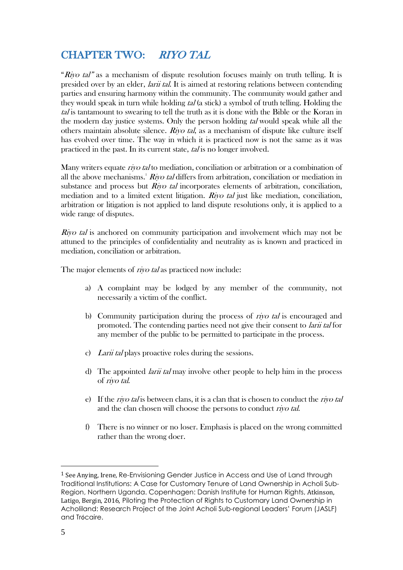## <span id="page-14-0"></span>CHAPTER TWO: RIYO TAL

"Riyo tal" as a mechanism of dispute resolution focuses mainly on truth telling. It is presided over by an elder, *larii tal*. It is aimed at restoring relations between contending parties and ensuring harmony within the community. The community would gather and they would speak in turn while holding tal (a stick) a symbol of truth telling. Holding the tal is tantamount to swearing to tell the truth as it is done with the Bible or the Koran in the modern day justice systems. Only the person holding tal would speak while all the others maintain absolute silence. Riyo tal, as a mechanism of dispute like culture itself has evolved over time. The way in which it is practiced now is not the same as it was practiced in the past. In its current state, tal is no longer involved.

Many writers equate *rivo tal* to mediation, conciliation or arbitration or a combination of all the above mechanisms. $^1$  *Riyo tal* differs from arbitration, conciliation or mediation in substance and process but  $Riv$  *tal* incorporates elements of arbitration, conciliation, mediation and to a limited extent litigation. Riyo tal just like mediation, conciliation, arbitration or litigation is not applied to land dispute resolutions only, it is applied to a wide range of disputes.

*Riyo tal* is anchored on community participation and involvement which may not be attuned to the principles of confidentiality and neutrality as is known and practiced in mediation, conciliation or arbitration.

The major elements of *riyo tal* as practiced now include:

- a) A complaint may be lodged by any member of the community, not necessarily a victim of the conflict.
- b) Community participation during the process of riyo tal is encouraged and promoted. The contending parties need not give their consent to larii tal for any member of the public to be permitted to participate in the process.
- c) Larii tal plays proactive roles during the sessions.
- d) The appointed *larii tal* may involve other people to help him in the process of riyo tal.
- e) If the *riyo tal* is between clans, it is a clan that is chosen to conduct the *riyo tal* and the clan chosen will choose the persons to conduct riyo tal.
- f) There is no winner or no loser. Emphasis is placed on the wrong committed rather than the wrong doer.

<sup>1</sup> See Anying, Irene, Re-Envisioning Gender Justice in Access and Use of Land through Traditional Institutions: A Case for Customary Tenure of Land Ownership in Acholi Sub-Region, Northern Uganda. Copenhagen: Danish Institute for Human Rights, Atkinson, Latigo, Bergin, 2016, Piloting the Protection of Rights to Customary Land Ownership in Acholiland: Research Project of the Joint Acholi Sub-regional Leaders' Forum (JASLF) and Trócaire.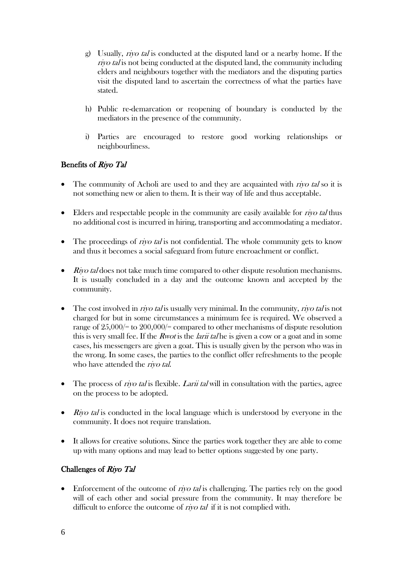- g) Usually, riyo tal is conducted at the disputed land or a nearby home. If the rivo tal is not being conducted at the disputed land, the community including elders and neighbours together with the mediators and the disputing parties visit the disputed land to ascertain the correctness of what the parties have stated.
- h) Public re-demarcation or reopening of boundary is conducted by the mediators in the presence of the community.
- i) Parties are encouraged to restore good working relationships or neighbourliness.

### Benefits of Riyo Tal

- The community of Acholi are used to and they are acquainted with *rivo tal* so it is not something new or alien to them. It is their way of life and thus acceptable.
- $\bullet$  Elders and respectable people in the community are easily available for *rivo tal* thus no additional cost is incurred in hiring, transporting and accommodating a mediator.
- The proceedings of *riyo tal* is not confidential. The whole community gets to know and thus it becomes a social safeguard from future encroachment or conflict.
- $\bullet$  Rivo tal does not take much time compared to other dispute resolution mechanisms. It is usually concluded in a day and the outcome known and accepted by the community.
- $\bullet$  The cost involved in *rivo tal* is usually very minimal. In the community, *rivo tal* is not charged for but in some circumstances a minimum fee is required. We observed a range of 25,000/= to 200,000/= compared to other mechanisms of dispute resolution this is very small fee. If the *Rwot* is the *larii tal* he is given a cow or a goat and in some cases, his messengers are given a goat. This is usually given by the person who was in the wrong. In some cases, the parties to the conflict offer refreshments to the people who have attended the *rivo tal*.
- The process of *rivo tal* is flexible. *Larii tal* will in consultation with the parties, agree on the process to be adopted.
- $\bullet$  Riyo tal is conducted in the local language which is understood by everyone in the community. It does not require translation.
- It allows for creative solutions. Since the parties work together they are able to come up with many options and may lead to better options suggested by one party.

### Challenges of Riyo Tal

 $\bullet$  Enforcement of the outcome of *rivo tal* is challenging. The parties rely on the good will of each other and social pressure from the community. It may therefore be difficult to enforce the outcome of *rivo tal* if it is not complied with.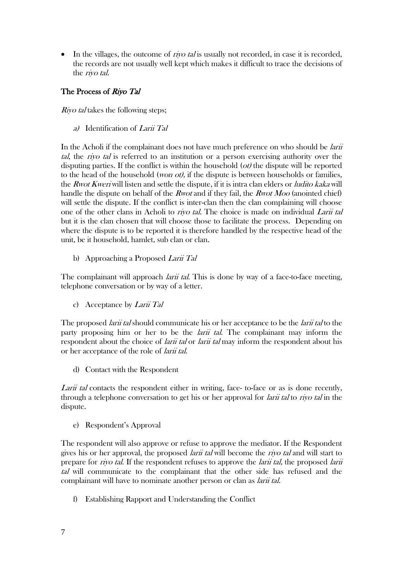$\bullet$  In the villages, the outcome of *riyo tal* is usually not recorded, in case it is recorded, the records are not usually well kept which makes it difficult to trace the decisions of the riyo tal.

### The Process of Riyo Tal

*Riyo tal* takes the following steps;

a) Identification of Larii Tal

In the Acholi if the complainant does not have much preference on who should be *larii* tal, the riyo tal is referred to an institution or a person exercising authority over the disputing parties. If the conflict is within the household  $(\omega t)$  the dispute will be reported to the head of the household (*won ot*), if the dispute is between households or families, the *Rwot Kweri* will listen and settle the dispute, if it is intra clan elders or *ludito kaka* will handle the dispute on behalf of the *Rwot* and if they fail, the *Rwot Moo* (anointed chief) will settle the dispute. If the conflict is inter-clan then the clan complaining will choose one of the other clans in Acholi to *rivo tal*. The choice is made on individual *Larii tal* but it is the clan chosen that will choose those to facilitate the process. Depending on where the dispute is to be reported it is therefore handled by the respective head of the unit, be it household, hamlet, sub clan or clan.

b) Approaching a Proposed Larii Tal

The complainant will approach *larii tal*. This is done by way of a face-to-face meeting, telephone conversation or by way of a letter.

c) Acceptance by *Larii Tal* 

The proposed *larii tal* should communicate his or her acceptance to be the *larii tal* to the party proposing him or her to be the *larii tal*. The complainant may inform the respondent about the choice of *larii tal* or *larii tal* may inform the respondent about his or her acceptance of the role of larii tal.

d) Contact with the Respondent

Larii tal contacts the respondent either in writing, face- to-face or as is done recently, through a telephone conversation to get his or her approval for *larii tal* to *riyo tal* in the dispute.

e) Respondent's Approval

The respondent will also approve or refuse to approve the mediator. If the Respondent gives his or her approval, the proposed *larii tal* will become the *riyo tal* and will start to prepare for *riyo tal*. If the respondent refuses to approve the *larii tal*, the proposed *larii* tal will communicate to the complainant that the other side has refused and the complainant will have to nominate another person or clan as *larii tal.* 

f) Establishing Rapport and Understanding the Conflict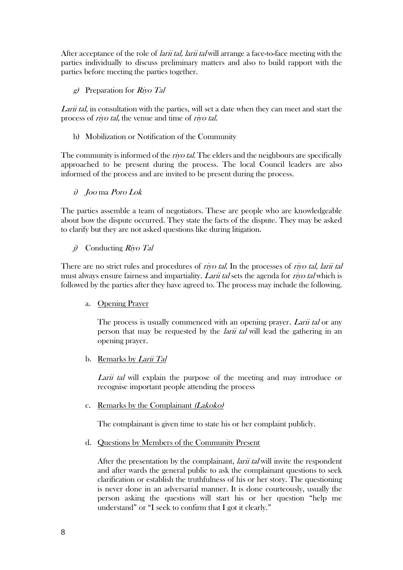After acceptance of the role of *larii tal, larii tal* will arrange a face-to-face meeting with the parties individually to discuss preliminary matters and also to build rapport with the parties before meeting the parties together.

g) Preparation for Riyo Tal

Larii tal, in consultation with the parties, will set a date when they can meet and start the process of riyo tal, the venue and time of riyo tal.

h) Mobilization or Notification of the Community

The community is informed of the *riyo tal*. The elders and the neighbours are specifically approached to be present during the process. The local Council leaders are also informed of the process and are invited to be present during the process.

i) Joo ma Poro Lok

The parties assemble a team of negotiators. These are people who are knowledgeable about how the dispute occurred. They state the facts of the dispute. They may be asked to clarify but they are not asked questions like during litigation.

 $j$  Conducting Riyo Tal

There are no strict rules and procedures of *riyo tal*. In the processes of *riyo tal, larii tal* must always ensure fairness and impartiality. Larii tal sets the agenda for riyo tal which is followed by the parties after they have agreed to. The process may include the following.

a. Opening Prayer

The process is usually commenced with an opening prayer. Larii tal or any person that may be requested by the *larii tal* will lead the gathering in an opening prayer.

b. Remarks by Larii Tal

Larii tal will explain the purpose of the meeting and may introduce or recognise important people attending the process

c. Remarks by the Complainant (Lakoko)

The complainant is given time to state his or her complaint publicly.

d. Questions by Members of the Community Present

After the presentation by the complainant, *larii tal* will invite the respondent and after wards the general public to ask the complainant questions to seek clarification or establish the truthfulness of his or her story. The questioning is never done in an adversarial manner. It is done courteously, usually the person asking the questions will start his or her question "help me understand" or "I seek to confirm that I got it clearly."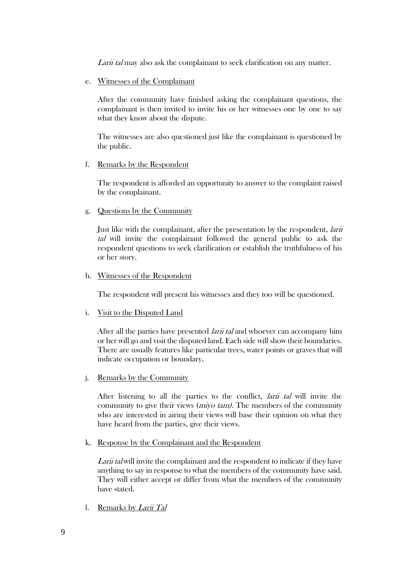Larii tal may also ask the complainant to seek clarification on any matter.

e. Witnesses of the Complainant

After the community have finished asking the complainant questions, the complainant is then invited to invite his or her witnesses one by one to say what they know about the dispute.

The witnesses are also questioned just like the complainant is questioned by the public.

#### f. Remarks by the Respondent

The respondent is afforded an opportunity to answer to the complaint raised by the complainant.

g. Questions by the Community

Just like with the complainant, after the presentation by the respondent, larii tal will invite the complainant followed the general public to ask the respondent questions to seek clarification or establish the truthfulness of his or her story.

#### h. Witnesses of the Respondent

The respondent will present his witnesses and they too will be questioned.

i. Visit to the Disputed Land

After all the parties have presented *larii tal* and whoever can accompany him or her will go and visit the disputed land. Each side will show their boundaries. There are usually features like particular trees, water points or graves that will indicate occupation or boundary.

j. Remarks by the Community

After listening to all the parties to the conflict, larii tal will invite the community to give their views (miyo tam). The members of the community who are interested in airing their views will base their opinion on what they have heard from the parties, give their views.

k. Response by the Complainant and the Respondent

Larii tal will invite the complainant and the respondent to indicate if they have anything to say in response to what the members of the community have said. They will either accept or differ from what the members of the community have stated.

l. Remarks by Larii Tal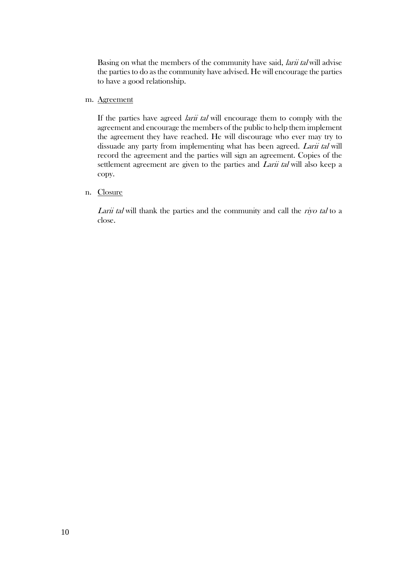Basing on what the members of the community have said, *larii tal* will advise the parties to do as the community have advised. He will encourage the parties to have a good relationship.

#### m. Agreement

If the parties have agreed *larii tal* will encourage them to comply with the agreement and encourage the members of the public to help them implement the agreement they have reached. He will discourage who ever may try to dissuade any party from implementing what has been agreed. Larii tal will record the agreement and the parties will sign an agreement. Copies of the settlement agreement are given to the parties and Larii tal will also keep a copy.

#### n. Closure

Larii tal will thank the parties and the community and call the riyo tal to a close.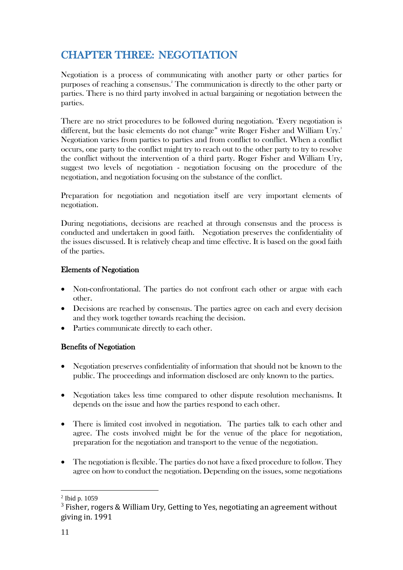# <span id="page-20-0"></span>CHAPTER THREE: NEGOTIATION

Negotiation is a process of communicating with another party or other parties for purposes of reaching a consensus. <sup>2</sup> The communication is directly to the other party or parties. There is no third party involved in actual bargaining or negotiation between the parties.

There are no strict procedures to be followed during negotiation. 'Every negotiation is different, but the basic elements do not change" write Roger Fisher and William Ury. 3 Negotiation varies from parties to parties and from conflict to conflict. When a conflict occurs, one party to the conflict might try to reach out to the other party to try to resolve the conflict without the intervention of a third party. Roger Fisher and William Ury, suggest two levels of negotiation - negotiation focusing on the procedure of the negotiation, and negotiation focusing on the substance of the conflict.

Preparation for negotiation and negotiation itself are very important elements of negotiation.

During negotiations, decisions are reached at through consensus and the process is conducted and undertaken in good faith. Negotiation preserves the confidentiality of the issues discussed. It is relatively cheap and time effective. It is based on the good faith of the parties.

### Elements of Negotiation

- Non-confrontational. The parties do not confront each other or argue with each other.
- Decisions are reached by consensus. The parties agree on each and every decision and they work together towards reaching the decision.
- Parties communicate directly to each other.

### Benefits of Negotiation

- Negotiation preserves confidentiality of information that should not be known to the public. The proceedings and information disclosed are only known to the parties.
- Negotiation takes less time compared to other dispute resolution mechanisms. It depends on the issue and how the parties respond to each other.
- There is limited cost involved in negotiation. The parties talk to each other and agree. The costs involved might be for the venue of the place for negotiation, preparation for the negotiation and transport to the venue of the negotiation.
- The negotiation is flexible. The parties do not have a fixed procedure to follow. They agree on how to conduct the negotiation. Depending on the issues, some negotiations

<sup>2</sup> Ibid p. 1059

 $3$  Fisher, rogers & William Ury, Getting to Yes, negotiating an agreement without giving in. 1991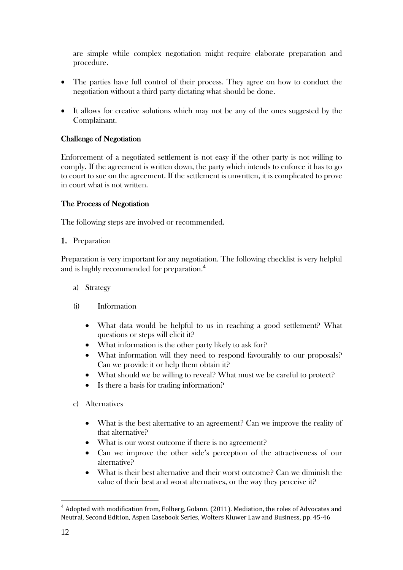are simple while complex negotiation might require elaborate preparation and procedure.

- The parties have full control of their process. They agree on how to conduct the negotiation without a third party dictating what should be done.
- It allows for creative solutions which may not be any of the ones suggested by the Complainant.

### Challenge of Negotiation

Enforcement of a negotiated settlement is not easy if the other party is not willing to comply. If the agreement is written down, the party which intends to enforce it has to go to court to sue on the agreement. If the settlement is unwritten, it is complicated to prove in court what is not written.

### The Process of Negotiation

The following steps are involved or recommended.

1. Preparation

Preparation is very important for any negotiation. The following checklist is very helpful and is highly recommended for preparation. 4

- a) Strategy
- (i) Information
	- What data would be helpful to us in reaching a good settlement? What questions or steps will elicit it?
	- What information is the other party likely to ask for?
	- What information will they need to respond favourably to our proposals? Can we provide it or help them obtain it?
	- What should we be willing to reveal? What must we be careful to protect?
	- Is there a basis for trading information?
- c) Alternatives
	- What is the best alternative to an agreement? Can we improve the reality of that alternative?
	- What is our worst outcome if there is no agreement?
	- Can we improve the other side's perception of the attractiveness of our alternative?
	- What is their best alternative and their worst outcome? Can we diminish the value of their best and worst alternatives, or the way they perceive it?

 $4$  Adopted with modification from, Folberg, Golann. (2011). Mediation, the roles of Advocates and Neutral, Second Edition, Aspen Casebook Series, Wolters Kluwer Law and Business, pp. 45-46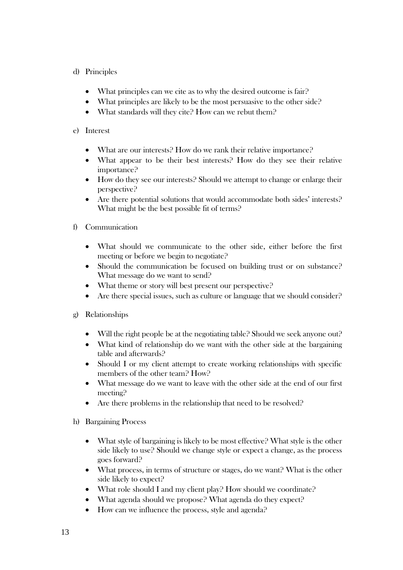### d) Principles

- What principles can we cite as to why the desired outcome is fair?
- What principles are likely to be the most persuasive to the other side?
- What standards will they cite? How can we rebut them?

### e) Interest

- What are our interests? How do we rank their relative importance?
- What appear to be their best interests? How do they see their relative importance?
- How do they see our interests? Should we attempt to change or enlarge their perspective?
- Are there potential solutions that would accommodate both sides' interests? What might be the best possible fit of terms?

### f) Communication

- What should we communicate to the other side, either before the first meeting or before we begin to negotiate?
- Should the communication be focused on building trust or on substance? What message do we want to send?
- What theme or story will best present our perspective?
- Are there special issues, such as culture or language that we should consider?
- g) Relationships
	- Will the right people be at the negotiating table? Should we seek anyone out?
	- What kind of relationship do we want with the other side at the bargaining table and afterwards?
	- Should I or my client attempt to create working relationships with specific members of the other team? How?
	- What message do we want to leave with the other side at the end of our first meeting?
	- Are there problems in the relationship that need to be resolved?
- h) Bargaining Process
	- What style of bargaining is likely to be most effective? What style is the other side likely to use? Should we change style or expect a change, as the process goes forward?
	- What process, in terms of structure or stages, do we want? What is the other side likely to expect?
	- What role should I and my client play? How should we coordinate?
	- What agenda should we propose? What agenda do they expect?
	- How can we influence the process, style and agenda?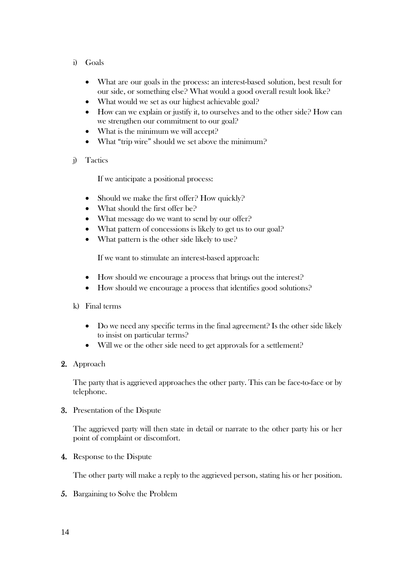- i) Goals
	- What are our goals in the process: an interest-based solution, best result for our side, or something else? What would a good overall result look like?
	- What would we set as our highest achievable goal?
	- How can we explain or justify it, to ourselves and to the other side? How can we strengthen our commitment to our goal?
	- What is the minimum we will accept?
	- What "trip wire" should we set above the minimum?
- j) Tactics

If we anticipate a positional process:

- Should we make the first offer? How quickly?
- What should the first offer be?
- What message do we want to send by our offer?
- What pattern of concessions is likely to get us to our goal?
- What pattern is the other side likely to use?

If we want to stimulate an interest-based approach:

- How should we encourage a process that brings out the interest?
- How should we encourage a process that identifies good solutions?
- k) Final terms
	- Do we need any specific terms in the final agreement? Is the other side likely to insist on particular terms?
	- Will we or the other side need to get approvals for a settlement?
- 2. Approach

The party that is aggrieved approaches the other party. This can be face-to-face or by telephone.

3. Presentation of the Dispute

The aggrieved party will then state in detail or narrate to the other party his or her point of complaint or discomfort.

4. Response to the Dispute

The other party will make a reply to the aggrieved person, stating his or her position.

5. Bargaining to Solve the Problem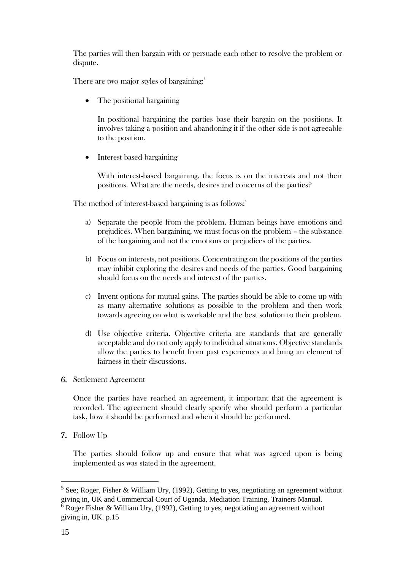The parties will then bargain with or persuade each other to resolve the problem or dispute.

There are two major styles of bargaining:<sup>5</sup>

• The positional bargaining

In positional bargaining the parties base their bargain on the positions. It involves taking a position and abandoning it if the other side is not agreeable to the position.

• Interest based bargaining

With interest-based bargaining, the focus is on the interests and not their positions. What are the needs, desires and concerns of the parties?

The method of interest-based bargaining is as follows: 6

- a) Separate the people from the problem. Human beings have emotions and prejudices. When bargaining, we must focus on the problem – the substance of the bargaining and not the emotions or prejudices of the parties.
- b) Focus on interests, not positions. Concentrating on the positions of the parties may inhibit exploring the desires and needs of the parties. Good bargaining should focus on the needs and interest of the parties.
- c) Invent options for mutual gains. The parties should be able to come up with as many alternative solutions as possible to the problem and then work towards agreeing on what is workable and the best solution to their problem.
- d) Use objective criteria. Objective criteria are standards that are generally acceptable and do not only apply to individual situations. Objective standards allow the parties to benefit from past experiences and bring an element of fairness in their discussions.
- 6. Settlement Agreement

Once the parties have reached an agreement, it important that the agreement is recorded. The agreement should clearly specify who should perform a particular task, how it should be performed and when it should be performed.

7. Follow Up

The parties should follow up and ensure that what was agreed upon is being implemented as was stated in the agreement.

 $<sup>5</sup>$  See; Roger, Fisher & William Ury, (1992), Getting to yes, negotiating an agreement without</sup> giving in, UK and Commercial Court of Uganda, Mediation Training, Trainers Manual.  $6$  Roger Fisher & William Ury, (1992), Getting to yes, negotiating an agreement without

giving in, UK. p.15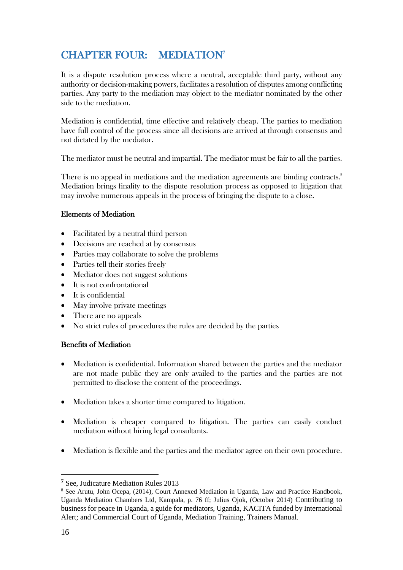# <span id="page-25-0"></span>CHAPTER FOUR: MEDIATION<sup>7</sup>

It is a dispute resolution process where a neutral, acceptable third party, without any authority or decision-making powers, facilitates a resolution of disputes among conflicting parties. Any party to the mediation may object to the mediator nominated by the other side to the mediation.

Mediation is confidential, time effective and relatively cheap. The parties to mediation have full control of the process since all decisions are arrived at through consensus and not dictated by the mediator.

The mediator must be neutral and impartial. The mediator must be fair to all the parties.

There is no appeal in mediations and the mediation agreements are binding contracts. 8 Mediation brings finality to the dispute resolution process as opposed to litigation that may involve numerous appeals in the process of bringing the dispute to a close.

### Elements of Mediation

- Facilitated by a neutral third person
- Decisions are reached at by consensus
- Parties may collaborate to solve the problems
- Parties tell their stories freely
- Mediator does not suggest solutions
- $\bullet$  It is not confrontational
- $\bullet$  It is confidential
- May involve private meetings
- There are no appeals
- No strict rules of procedures the rules are decided by the parties

### Benefits of Mediation

- Mediation is confidential. Information shared between the parties and the mediator are not made public they are only availed to the parties and the parties are not permitted to disclose the content of the proceedings.
- Mediation takes a shorter time compared to litigation.
- Mediation is cheaper compared to litigation. The parties can easily conduct mediation without hiring legal consultants.
- Mediation is flexible and the parties and the mediator agree on their own procedure.

**<sup>7</sup>** See, Judicature Mediation Rules 2013

<sup>8</sup> See Arutu, John Ocepa, (2014), Court Annexed Mediation in Uganda, Law and Practice Handbook, Uganda Mediation Chambers Ltd, Kampala, p. 76 ff; Julius Ojok, (October 2014) Contributing to business for peace in Uganda, a guide for mediators, Uganda, KACITA funded by International Alert; and Commercial Court of Uganda, Mediation Training, Trainers Manual.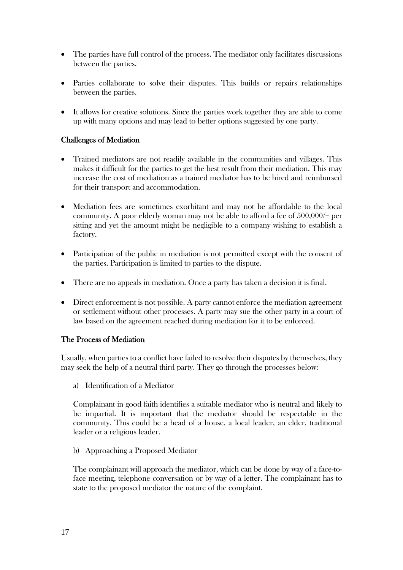- The parties have full control of the process. The mediator only facilitates discussions between the parties.
- Parties collaborate to solve their disputes. This builds or repairs relationships between the parties.
- It allows for creative solutions. Since the parties work together they are able to come up with many options and may lead to better options suggested by one party.

### Challenges of Mediation

- Trained mediators are not readily available in the communities and villages. This makes it difficult for the parties to get the best result from their mediation. This may increase the cost of mediation as a trained mediator has to be hired and reimbursed for their transport and accommodation.
- Mediation fees are sometimes exorbitant and may not be affordable to the local community. A poor elderly woman may not be able to afford a fee of 500,000/= per sitting and yet the amount might be negligible to a company wishing to establish a factory.
- Participation of the public in mediation is not permitted except with the consent of the parties. Participation is limited to parties to the dispute.
- There are no appeals in mediation. Once a party has taken a decision it is final.
- Direct enforcement is not possible. A party cannot enforce the mediation agreement or settlement without other processes. A party may sue the other party in a court of law based on the agreement reached during mediation for it to be enforced.

#### The Process of Mediation

Usually, when parties to a conflict have failed to resolve their disputes by themselves, they may seek the help of a neutral third party. They go through the processes below:

a) Identification of a Mediator

Complainant in good faith identifies a suitable mediator who is neutral and likely to be impartial. It is important that the mediator should be respectable in the community. This could be a head of a house, a local leader, an elder, traditional leader or a religious leader.

b) Approaching a Proposed Mediator

The complainant will approach the mediator, which can be done by way of a face-toface meeting, telephone conversation or by way of a letter. The complainant has to state to the proposed mediator the nature of the complaint.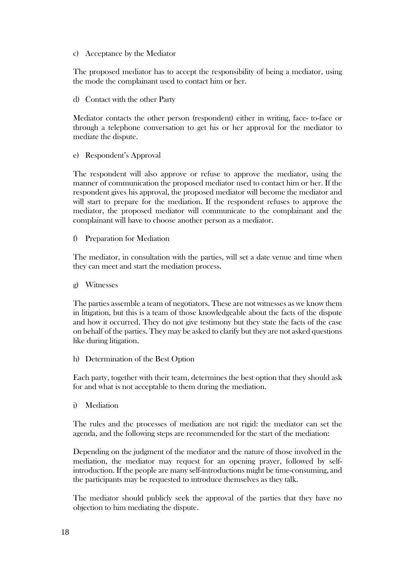#### c) Acceptance by the Mediator

The proposed mediator has to accept the responsibility of being a mediator, using the mode the complainant used to contact him or her.

d) Contact with the other Party

Mediator contacts the other person (respondent) either in writing, face- to-face or through a telephone conversation to get his or her approval for the mediator to mediate the dispute.

e) Respondent's Approval

The respondent will also approve or refuse to approve the mediator, using the manner of communication the proposed mediator used to contact him or her. If the respondent gives his approval, the proposed mediator will become the mediator and will start to prepare for the mediation. If the respondent refuses to approve the mediator, the proposed mediator will communicate to the complainant and the complainant will have to choose another person as a mediator.

f) Preparation for Mediation

The mediator, in consultation with the parties, will set a date venue and time when they can meet and start the mediation process.

g) Witnesses

The parties assemble a team of negotiators. These are not witnesses as we know them in litigation, but this is a team of those knowledgeable about the facts of the dispute and how it occurred. They do not give testimony but they state the facts of the case on behalf of the parties. They may be asked to clarify but they are not asked questions like during litigation.

h) Determination of the Best Option

Each party, together with their team, determines the best option that they should ask for and what is not acceptable to them during the mediation.

i) Mediation

The rules and the processes of mediation are not rigid: the mediator can set the agenda, and the following steps are recommended for the start of the mediation:

Depending on the judgment of the mediator and the nature of those involved in the mediation, the mediator may request for an opening prayer, followed by selfintroduction. If the people are many self-introductions might be time-consuming, and the participants may be requested to introduce themselves as they talk.

The mediator should publicly seek the approval of the parties that they have no objection to him mediating the dispute.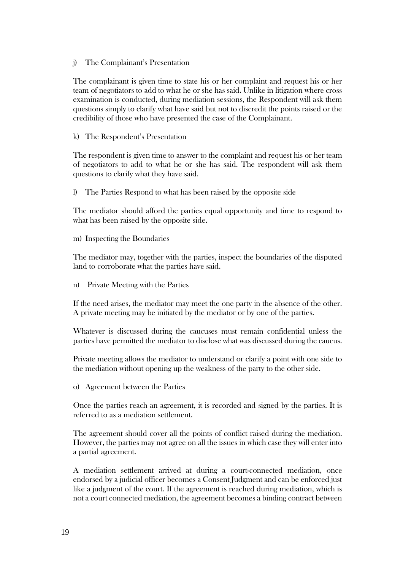j) The Complainant's Presentation

The complainant is given time to state his or her complaint and request his or her team of negotiators to add to what he or she has said. Unlike in litigation where cross examination is conducted, during mediation sessions, the Respondent will ask them questions simply to clarify what have said but not to discredit the points raised or the credibility of those who have presented the case of the Complainant.

k) The Respondent's Presentation

The respondent is given time to answer to the complaint and request his or her team of negotiators to add to what he or she has said. The respondent will ask them questions to clarify what they have said.

l) The Parties Respond to what has been raised by the opposite side

The mediator should afford the parties equal opportunity and time to respond to what has been raised by the opposite side.

m) Inspecting the Boundaries

The mediator may, together with the parties, inspect the boundaries of the disputed land to corroborate what the parties have said.

n) Private Meeting with the Parties

If the need arises, the mediator may meet the one party in the absence of the other. A private meeting may be initiated by the mediator or by one of the parties.

Whatever is discussed during the caucuses must remain confidential unless the parties have permitted the mediator to disclose what was discussed during the caucus.

Private meeting allows the mediator to understand or clarify a point with one side to the mediation without opening up the weakness of the party to the other side.

o) Agreement between the Parties

Once the parties reach an agreement, it is recorded and signed by the parties. It is referred to as a mediation settlement.

The agreement should cover all the points of conflict raised during the mediation. However, the parties may not agree on all the issues in which case they will enter into a partial agreement.

A mediation settlement arrived at during a court-connected mediation, once endorsed by a judicial officer becomes a Consent Judgment and can be enforced just like a judgment of the court. If the agreement is reached during mediation, which is not a court connected mediation, the agreement becomes a binding contract between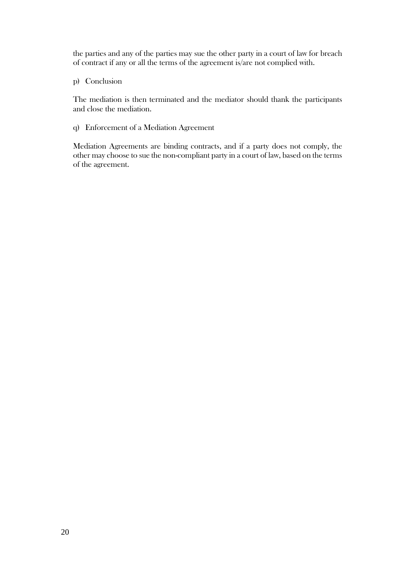the parties and any of the parties may sue the other party in a court of law for breach of contract if any or all the terms of the agreement is/are not complied with.

p) Conclusion

The mediation is then terminated and the mediator should thank the participants and close the mediation.

q) Enforcement of a Mediation Agreement

Mediation Agreements are binding contracts, and if a party does not comply, the other may choose to sue the non-compliant party in a court of law, based on the terms of the agreement.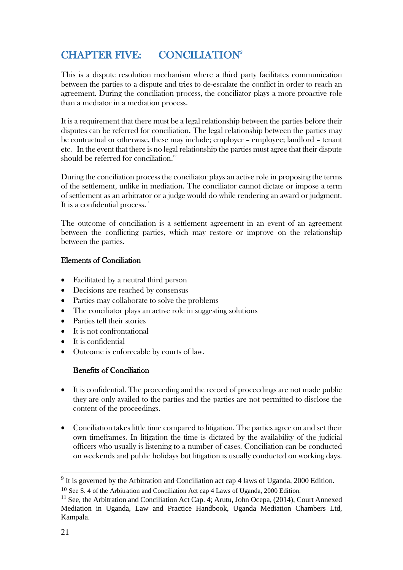# <span id="page-30-0"></span>CHAPTER FIVE: CONCILIATION<sup>9</sup>

This is a dispute resolution mechanism where a third party facilitates communication between the parties to a dispute and tries to de-escalate the conflict in order to reach an agreement. During the conciliation process, the conciliator plays a more proactive role than a mediator in a mediation process.

It is a requirement that there must be a legal relationship between the parties before their disputes can be referred for conciliation. The legal relationship between the parties may be contractual or otherwise, these may include; employer – employee; landlord – tenant etc. In the event that there is no legal relationship the parties must agree that their dispute should be referred for conciliation. $^{\text{\tiny{10}}}$ 

During the conciliation process the conciliator plays an active role in proposing the terms of the settlement, unlike in mediation. The conciliator cannot dictate or impose a term of settlement as an arbitrator or a judge would do while rendering an award or judgment. It is a confidential process."

The outcome of conciliation is a settlement agreement in an event of an agreement between the conflicting parties, which may restore or improve on the relationship between the parties.

### Elements of Conciliation

- Facilitated by a neutral third person
- Decisions are reached by consensus
- Parties may collaborate to solve the problems
- The conciliator plays an active role in suggesting solutions
- Parties tell their stories
- It is not confrontational
- It is confidential
- Outcome is enforceable by courts of law.

### Benefits of Conciliation

- It is confidential. The proceeding and the record of proceedings are not made public they are only availed to the parties and the parties are not permitted to disclose the content of the proceedings.
- Conciliation takes little time compared to litigation. The parties agree on and set their own timeframes. In litigation the time is dictated by the availability of the judicial officers who usually is listening to a number of cases. Conciliation can be conducted on weekends and public holidays but litigation is usually conducted on working days.

 $9$  It is governed by the Arbitration and Conciliation act cap 4 laws of Uganda, 2000 Edition.

<sup>10</sup> See S. 4 of the Arbitration and Conciliation Act cap 4 Laws of Uganda, 2000 Edition.

 $11$  See, the Arbitration and Conciliation Act Cap. 4; Arutu, John Ocepa, (2014), Court Annexed Mediation in Uganda, Law and Practice Handbook, Uganda Mediation Chambers Ltd, Kampala.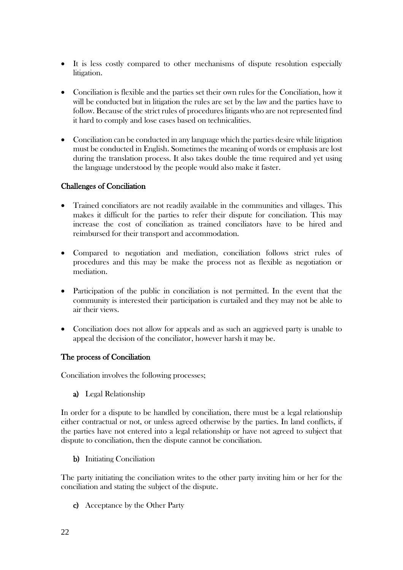- It is less costly compared to other mechanisms of dispute resolution especially litigation.
- Conciliation is flexible and the parties set their own rules for the Conciliation, how it will be conducted but in litigation the rules are set by the law and the parties have to follow. Because of the strict rules of procedures litigants who are not represented find it hard to comply and lose cases based on technicalities.
- Conciliation can be conducted in any language which the parties desire while litigation must be conducted in English. Sometimes the meaning of words or emphasis are lost during the translation process. It also takes double the time required and yet using the language understood by the people would also make it faster.

### Challenges of Conciliation

- Trained conciliators are not readily available in the communities and villages. This makes it difficult for the parties to refer their dispute for conciliation. This may increase the cost of conciliation as trained conciliators have to be hired and reimbursed for their transport and accommodation.
- Compared to negotiation and mediation, conciliation follows strict rules of procedures and this may be make the process not as flexible as negotiation or mediation.
- Participation of the public in conciliation is not permitted. In the event that the community is interested their participation is curtailed and they may not be able to air their views.
- Conciliation does not allow for appeals and as such an aggrieved party is unable to appeal the decision of the conciliator, however harsh it may be.

### The process of Conciliation

Conciliation involves the following processes;

a) Legal Relationship

In order for a dispute to be handled by conciliation, there must be a legal relationship either contractual or not, or unless agreed otherwise by the parties. In land conflicts, if the parties have not entered into a legal relationship or have not agreed to subject that dispute to conciliation, then the dispute cannot be conciliation.

b) Initiating Conciliation

The party initiating the conciliation writes to the other party inviting him or her for the conciliation and stating the subject of the dispute.

c) Acceptance by the Other Party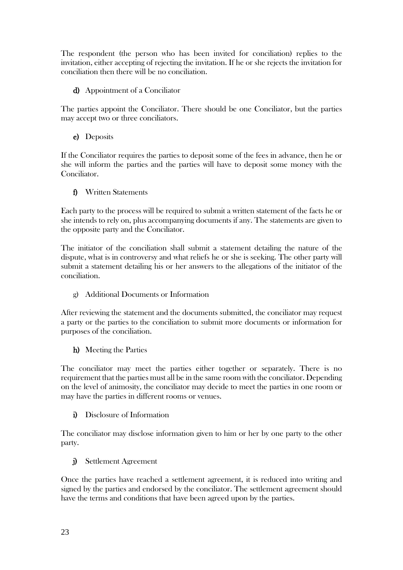The respondent (the person who has been invited for conciliation) replies to the invitation, either accepting of rejecting the invitation. If he or she rejects the invitation for conciliation then there will be no conciliation.

d) Appointment of a Conciliator

The parties appoint the Conciliator. There should be one Conciliator, but the parties may accept two or three conciliators.

e) Deposits

If the Conciliator requires the parties to deposit some of the fees in advance, then he or she will inform the parties and the parties will have to deposit some money with the Conciliator.

f) Written Statements

Each party to the process will be required to submit a written statement of the facts he or she intends to rely on, plus accompanying documents if any. The statements are given to the opposite party and the Conciliator.

The initiator of the conciliation shall submit a statement detailing the nature of the dispute, what is in controversy and what reliefs he or she is seeking. The other party will submit a statement detailing his or her answers to the allegations of the initiator of the conciliation.

g) Additional Documents or Information

After reviewing the statement and the documents submitted, the conciliator may request a party or the parties to the conciliation to submit more documents or information for purposes of the conciliation.

h) Meeting the Parties

The conciliator may meet the parties either together or separately. There is no requirement that the parties must all be in the same room with the conciliator. Depending on the level of animosity, the conciliator may decide to meet the parties in one room or may have the parties in different rooms or venues.

i) Disclosure of Information

The conciliator may disclose information given to him or her by one party to the other party.

j) Settlement Agreement

Once the parties have reached a settlement agreement, it is reduced into writing and signed by the parties and endorsed by the conciliator. The settlement agreement should have the terms and conditions that have been agreed upon by the parties.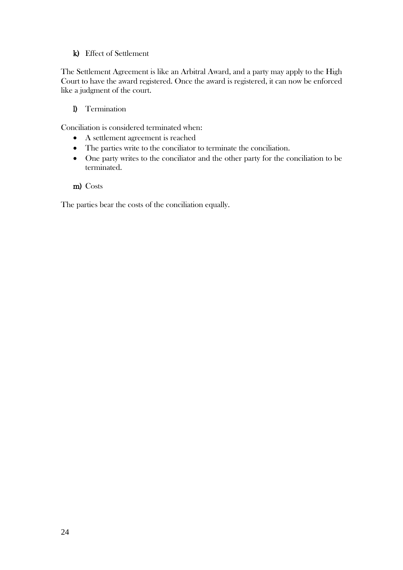### k) Effect of Settlement

The Settlement Agreement is like an Arbitral Award, and a party may apply to the High Court to have the award registered. Once the award is registered, it can now be enforced like a judgment of the court.

### l) Termination

Conciliation is considered terminated when:

- A settlement agreement is reached
- The parties write to the conciliator to terminate the conciliation.
- One party writes to the conciliator and the other party for the conciliation to be terminated.
- m) Costs

The parties bear the costs of the conciliation equally.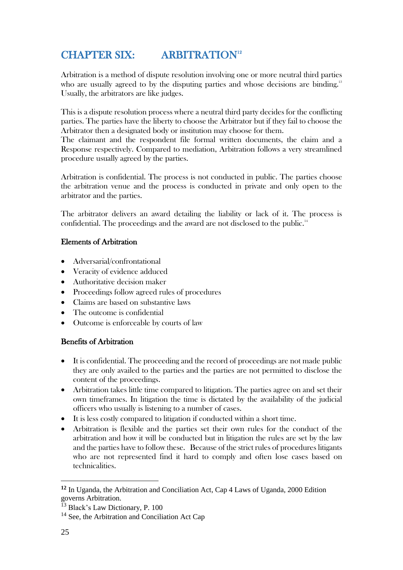# <span id="page-34-0"></span>CHAPTER SIX: ARBITRATION<sup>12</sup>

Arbitration is a method of dispute resolution involving one or more neutral third parties who are usually agreed to by the disputing parties and whose decisions are binding.<sup>13</sup> Usually, the arbitrators are like judges.

This is a dispute resolution process where a neutral third party decides for the conflicting parties. The parties have the liberty to choose the Arbitrator but if they fail to choose the Arbitrator then a designated body or institution may choose for them.

The claimant and the respondent file formal written documents, the claim and a Response respectively. Compared to mediation, Arbitration follows a very streamlined procedure usually agreed by the parties.

Arbitration is confidential. The process is not conducted in public. The parties choose the arbitration venue and the process is conducted in private and only open to the arbitrator and the parties.

The arbitrator delivers an award detailing the liability or lack of it. The process is confidential. The proceedings and the award are not disclosed to the public. $^{\textrm{\tiny{14}}}$ 

### Elements of Arbitration

- Adversarial/confrontational
- Veracity of evidence adduced
- Authoritative decision maker
- Proceedings follow agreed rules of procedures
- Claims are based on substantive laws
- The outcome is confidential
- Outcome is enforceable by courts of law

### Benefits of Arbitration

- It is confidential. The proceeding and the record of proceedings are not made public they are only availed to the parties and the parties are not permitted to disclose the content of the proceedings.
- Arbitration takes little time compared to litigation. The parties agree on and set their own timeframes. In litigation the time is dictated by the availability of the judicial officers who usually is listening to a number of cases.
- It is less costly compared to litigation if conducted within a short time.
- Arbitration is flexible and the parties set their own rules for the conduct of the arbitration and how it will be conducted but in litigation the rules are set by the law and the parties have to follow these. Because of the strict rules of procedures litigants who are not represented find it hard to comply and often lose cases based on technicalities.

**<sup>12</sup>** In Uganda, the Arbitration and Conciliation Act, Cap 4 Laws of Uganda, 2000 Edition governs Arbitration.

<sup>&</sup>lt;sup>13</sup> Black's Law Dictionary, P. 100

<sup>&</sup>lt;sup>14</sup> See, the Arbitration and Conciliation Act Cap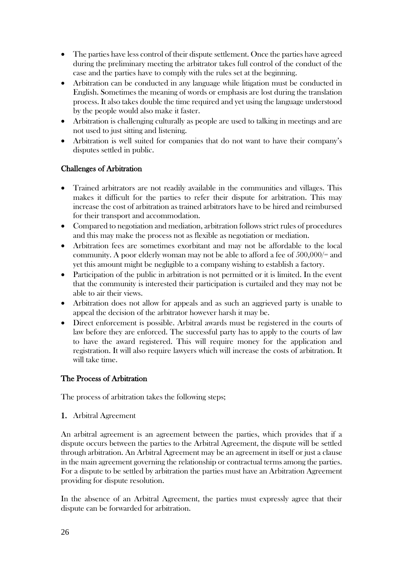- The parties have less control of their dispute settlement. Once the parties have agreed during the preliminary meeting the arbitrator takes full control of the conduct of the case and the parties have to comply with the rules set at the beginning.
- Arbitration can be conducted in any language while litigation must be conducted in English. Sometimes the meaning of words or emphasis are lost during the translation process. It also takes double the time required and yet using the language understood by the people would also make it faster.
- Arbitration is challenging culturally as people are used to talking in meetings and are not used to just sitting and listening.
- Arbitration is well suited for companies that do not want to have their company's disputes settled in public.

### Challenges of Arbitration

- Trained arbitrators are not readily available in the communities and villages. This makes it difficult for the parties to refer their dispute for arbitration. This may increase the cost of arbitration as trained arbitrators have to be hired and reimbursed for their transport and accommodation.
- Compared to negotiation and mediation, arbitration follows strict rules of procedures and this may make the process not as flexible as negotiation or mediation.
- Arbitration fees are sometimes exorbitant and may not be affordable to the local community. A poor elderly woman may not be able to afford a fee of 500,000/= and yet this amount might be negligible to a company wishing to establish a factory.
- Participation of the public in arbitration is not permitted or it is limited. In the event that the community is interested their participation is curtailed and they may not be able to air their views.
- Arbitration does not allow for appeals and as such an aggrieved party is unable to appeal the decision of the arbitrator however harsh it may be.
- Direct enforcement is possible. Arbitral awards must be registered in the courts of law before they are enforced. The successful party has to apply to the courts of law to have the award registered. This will require money for the application and registration. It will also require lawyers which will increase the costs of arbitration. It will take time.

### The Process of Arbitration

The process of arbitration takes the following steps;

### 1. Arbitral Agreement

An arbitral agreement is an agreement between the parties, which provides that if a dispute occurs between the parties to the Arbitral Agreement, the dispute will be settled through arbitration. An Arbitral Agreement may be an agreement in itself or just a clause in the main agreement governing the relationship or contractual terms among the parties. For a dispute to be settled by arbitration the parties must have an Arbitration Agreement providing for dispute resolution.

In the absence of an Arbitral Agreement, the parties must expressly agree that their dispute can be forwarded for arbitration.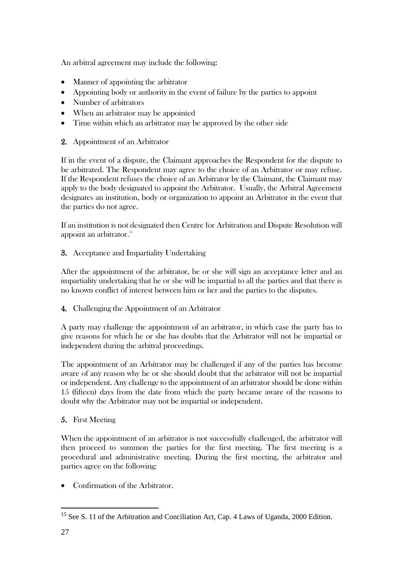An arbitral agreement may include the following:

- Manner of appointing the arbitrator
- Appointing body or authority in the event of failure by the parties to appoint
- Number of arbitrators
- When an arbitrator may be appointed
- Time within which an arbitrator may be approved by the other side
- 2. Appointment of an Arbitrator

If in the event of a dispute, the Claimant approaches the Respondent for the dispute to be arbitrated. The Respondent may agree to the choice of an Arbitrator or may refuse. If the Respondent refuses the choice of an Arbitrator by the Claimant, the Claimant may apply to the body designated to appoint the Arbitrator. Usually, the Arbitral Agreement designates an institution, body or organization to appoint an Arbitrator in the event that the parties do not agree.

If an institution is not designated then Centre for Arbitration and Dispute Resolution will appoint an arbitrator.<sup>15</sup>

3. Acceptance and Impartiality Undertaking

After the appointment of the arbitrator, he or she will sign an acceptance letter and an impartiality undertaking that he or she will be impartial to all the parties and that there is no known conflict of interest between him or her and the parties to the disputes.

4. Challenging the Appointment of an Arbitrator

A party may challenge the appointment of an arbitrator, in which case the party has to give reasons for which he or she has doubts that the Arbitrator will not be impartial or independent during the arbitral proceedings.

The appointment of an Arbitrator may be challenged if any of the parties has become aware of any reason why he or she should doubt that the arbitrator will not be impartial or independent. Any challenge to the appointment of an arbitrator should be done within 15 (fifteen) days from the date from which the party became aware of the reasons to doubt why the Arbitrator may not be impartial or independent.

### 5. First Meeting

When the appointment of an arbitrator is not successfully challenged, the arbitrator will then proceed to summon the parties for the first meeting. The first meeting is a procedural and administrative meeting. During the first meeting, the arbitrator and parties agree on the following:

• Confirmation of the Arbitrator.

<sup>&</sup>lt;sup>15</sup> See S. 11 of the Arbitration and Conciliation Act, Cap. 4 Laws of Uganda, 2000 Edition.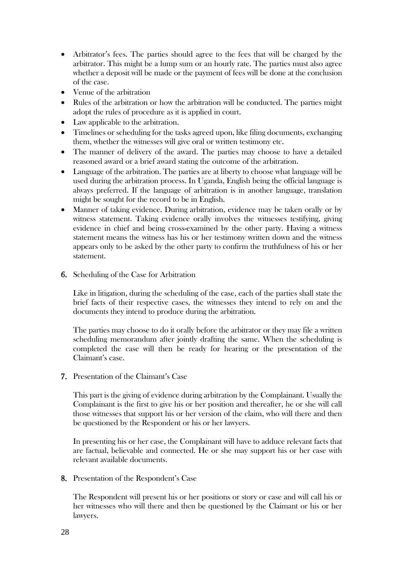- Arbitrator's fees. The parties should agree to the fees that will be charged by the arbitrator. This might be a lump sum or an hourly rate. The parties must also agree whether a deposit will be made or the payment of fees will be done at the conclusion of the case.
- Venue of the arbitration
- Rules of the arbitration or how the arbitration will be conducted. The parties might adopt the rules of procedure as it is applied in court.
- Law applicable to the arbitration.
- Timelines or scheduling for the tasks agreed upon, like filing documents, exchanging them, whether the witnesses will give oral or written testimony etc.
- The manner of delivery of the award. The parties may choose to have a detailed reasoned award or a brief award stating the outcome of the arbitration.
- Language of the arbitration. The parties are at liberty to choose what language will be used during the arbitration process. In Uganda, English being the official language is always preferred. If the language of arbitration is in another language, translation might be sought for the record to be in English.
- Manner of taking evidence. During arbitration, evidence may be taken orally or by witness statement. Taking evidence orally involves the witnesses testifying, giving evidence in chief and being cross-examined by the other party. Having a witness statement means the witness has his or her testimony written down and the witness appears only to be asked by the other party to confirm the truthfulness of his or her statement.
- 6. Scheduling of the Case for Arbitration

Like in litigation, during the scheduling of the case, each of the parties shall state the brief facts of their respective cases, the witnesses they intend to rely on and the documents they intend to produce during the arbitration.

The parties may choose to do it orally before the arbitrator or they may file a written scheduling memorandum after jointly drafting the same. When the scheduling is completed the case will then be ready for hearing or the presentation of the Claimant's case.

7. Presentation of the Claimant's Case

This part is the giving of evidence during arbitration by the Complainant. Usually the Complainant is the first to give his or her position and thereafter, he or she will call those witnesses that support his or her version of the claim, who will there and then be questioned by the Respondent or his or her lawyers.

In presenting his or her case, the Complainant will have to adduce relevant facts that are factual, believable and connected. He or she may support his or her case with relevant available documents.

8. Presentation of the Respondent's Case

The Respondent will present his or her positions or story or case and will call his or her witnesses who will there and then be questioned by the Claimant or his or her lawyers.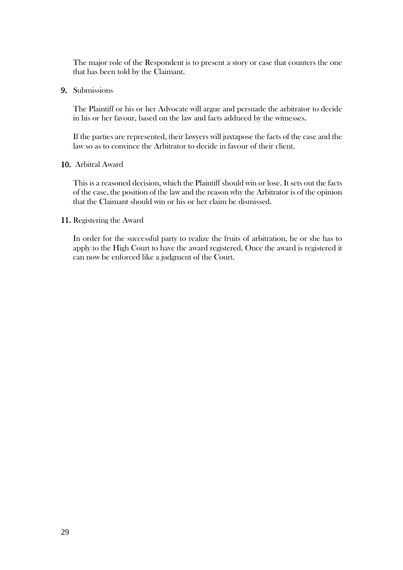The major role of the Respondent is to present a story or case that counters the one that has been told by the Claimant.

#### 9. Submissions

The Plaintiff or his or her Advocate will argue and persuade the arbitrator to decide in his or her favour, based on the law and facts adduced by the witnesses.

If the parties are represented, their lawyers will juxtapose the facts of the case and the law so as to convince the Arbitrator to decide in favour of their client.

#### 10. Arbitral Award

This is a reasoned decision, which the Plaintiff should win or lose. It sets out the facts of the case, the position of the law and the reason why the Arbitrator is of the opinion that the Claimant should win or his or her claim be dismissed.

#### 11. Registering the Award

In order for the successful party to realize the fruits of arbitration, he or she has to apply to the High Court to have the award registered. Once the award is registered it can now be enforced like a judgment of the Court.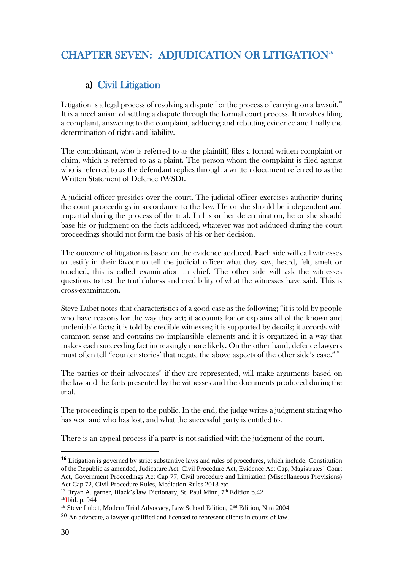# <span id="page-39-1"></span><span id="page-39-0"></span>CHAPTER SEVEN: ADJUDICATION OR LITIGATION<sup>16</sup>

## a) Civil Litigation

Litigation is a legal process of resolving a dispute'' or the process of carrying on a lawsuit.' $^{\mathrm{s}}$ It is a mechanism of settling a dispute through the formal court process. It involves filing a complaint, answering to the complaint, adducing and rebutting evidence and finally the determination of rights and liability.

The complainant, who is referred to as the plaintiff, files a formal written complaint or claim, which is referred to as a plaint. The person whom the complaint is filed against who is referred to as the defendant replies through a written document referred to as the Written Statement of Defence (WSD).

A judicial officer presides over the court. The judicial officer exercises authority during the court proceedings in accordance to the law. He or she should be independent and impartial during the process of the trial. In his or her determination, he or she should base his or judgment on the facts adduced, whatever was not adduced during the court proceedings should not form the basis of his or her decision.

The outcome of litigation is based on the evidence adduced. Each side will call witnesses to testify in their favour to tell the judicial officer what they saw, heard, felt, smelt or touched, this is called examination in chief. The other side will ask the witnesses questions to test the truthfulness and credibility of what the witnesses have said. This is cross-examination.

Steve Lubet notes that characteristics of a good case as the following; "it is told by people who have reasons for the way they act; it accounts for or explains all of the known and undeniable facts; it is told by credible witnesses; it is supported by details; it accords with common sense and contains no implausible elements and it is organized in a way that makes each succeeding fact increasingly more likely. On the other hand, defence lawyers must often tell "counter stories' that negate the above aspects of the other side's case." 19

The parties or their advocates<sup>20</sup> if they are represented, will make arguments based on the law and the facts presented by the witnesses and the documents produced during the trial.

The proceeding is open to the public. In the end, the judge writes a judgment stating who has won and who has lost, and what the successful party is entitled to.

There is an appeal process if a party is not satisfied with the judgment of the court.

**<sup>16</sup>** Litigation is governed by strict substantive laws and rules of procedures, which include, Constitution of the Republic as amended, Judicature Act, Civil Procedure Act, Evidence Act Cap, Magistrates' Court Act, Government Proceedings Act Cap 77, Civil procedure and Limitation (Miscellaneous Provisions) Act Cap 72, Civil Procedure Rules, Mediation Rules 2013 etc.

<sup>&</sup>lt;sup>17</sup> Bryan A. garner, Black's law Dictionary, St. Paul Minn, 7<sup>th</sup> Edition p.42

<sup>18</sup>Ibid. p. 944

<sup>&</sup>lt;sup>19</sup> Steve Lubet, Modern Trial Advocacy, Law School Edition, 2<sup>nd</sup> Edition, Nita 2004

<sup>20</sup> An advocate, a lawyer qualified and licensed to represent clients in courts of law.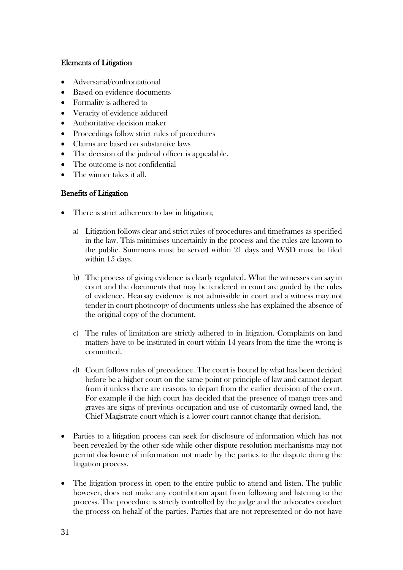### Elements of Litigation

- Adversarial/confrontational
- Based on evidence documents
- Formality is adhered to
- Veracity of evidence adduced
- Authoritative decision maker
- Proceedings follow strict rules of procedures
- Claims are based on substantive laws
- The decision of the judicial officer is appealable.
- The outcome is not confidential
- The winner takes it all.

### Benefits of Litigation

- There is strict adherence to law in litigation;
	- a) Litigation follows clear and strict rules of procedures and timeframes as specified in the law. This minimises uncertainly in the process and the rules are known to the public. Summons must be served within 21 days and WSD must be filed within 15 days.
	- b) The process of giving evidence is clearly regulated. What the witnesses can say in court and the documents that may be tendered in court are guided by the rules of evidence. Hearsay evidence is not admissible in court and a witness may not tender in court photocopy of documents unless she has explained the absence of the original copy of the document.
	- c) The rules of limitation are strictly adhered to in litigation. Complaints on land matters have to be instituted in court within 14 years from the time the wrong is committed.
	- d) Court follows rules of precedence. The court is bound by what has been decided before be a higher court on the same point or principle of law and cannot depart from it unless there are reasons to depart from the earlier decision of the court. For example if the high court has decided that the presence of mango trees and graves are signs of previous occupation and use of customarily owned land, the Chief Magistrate court which is a lower court cannot change that decision.
- Parties to a litigation process can seek for disclosure of information which has not been revealed by the other side while other dispute resolution mechanisms may not permit disclosure of information not made by the parties to the dispute during the litigation process.
- The litigation process in open to the entire public to attend and listen. The public however, does not make any contribution apart from following and listening to the process. The procedure is strictly controlled by the judge and the advocates conduct the process on behalf of the parties. Parties that are not represented or do not have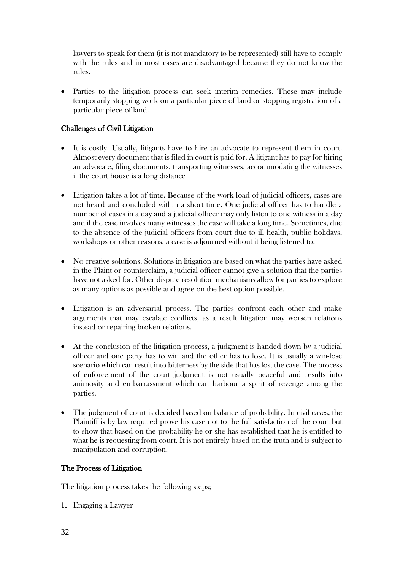lawyers to speak for them (it is not mandatory to be represented) still have to comply with the rules and in most cases are disadvantaged because they do not know the rules.

 Parties to the litigation process can seek interim remedies. These may include temporarily stopping work on a particular piece of land or stopping registration of a particular piece of land.

### Challenges of Civil Litigation

- It is costly. Usually, litigants have to hire an advocate to represent them in court. Almost every document that is filed in court is paid for. A litigant has to pay for hiring an advocate, filing documents, transporting witnesses, accommodating the witnesses if the court house is a long distance
- Litigation takes a lot of time. Because of the work load of judicial officers, cases are not heard and concluded within a short time. One judicial officer has to handle a number of cases in a day and a judicial officer may only listen to one witness in a day and if the case involves many witnesses the case will take a long time. Sometimes, due to the absence of the judicial officers from court due to ill health, public holidays, workshops or other reasons, a case is adjourned without it being listened to.
- No creative solutions. Solutions in litigation are based on what the parties have asked in the Plaint or counterclaim, a judicial officer cannot give a solution that the parties have not asked for. Other dispute resolution mechanisms allow for parties to explore as many options as possible and agree on the best option possible.
- Litigation is an adversarial process. The parties confront each other and make arguments that may escalate conflicts, as a result litigation may worsen relations instead or repairing broken relations.
- At the conclusion of the litigation process, a judgment is handed down by a judicial officer and one party has to win and the other has to lose. It is usually a win-lose scenario which can result into bitterness by the side that has lost the case. The process of enforcement of the court judgment is not usually peaceful and results into animosity and embarrassment which can harbour a spirit of revenge among the parties.
- The judgment of court is decided based on balance of probability. In civil cases, the Plaintiff is by law required prove his case not to the full satisfaction of the court but to show that based on the probability he or she has established that he is entitled to what he is requesting from court. It is not entirely based on the truth and is subject to manipulation and corruption.

### The Process of Litigation

The litigation process takes the following steps;

1. Engaging a Lawyer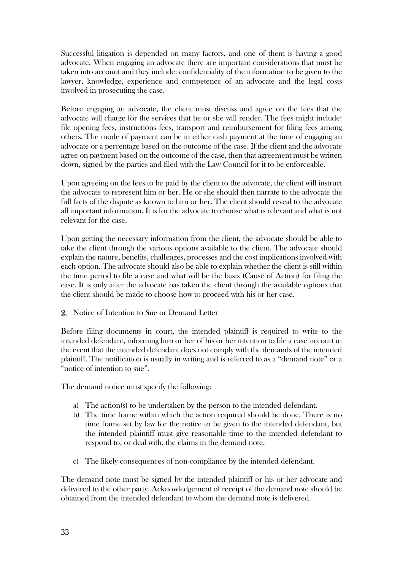Successful litigation is depended on many factors, and one of them is having a good advocate. When engaging an advocate there are important considerations that must be taken into account and they include: confidentiality of the information to be given to the lawyer, knowledge, experience and competence of an advocate and the legal costs involved in prosecuting the case.

Before engaging an advocate, the client must discuss and agree on the fees that the advocate will charge for the services that he or she will render. The fees might include: file opening fees, instructions fees, transport and reimbursement for filing fees among others. The mode of payment can be in either cash payment at the time of engaging an advocate or a percentage based on the outcome of the case. If the client and the advocate agree on payment based on the outcome of the case, then that agreement must be written down, signed by the parties and filed with the Law Council for it to be enforceable.

Upon agreeing on the fees to be paid by the client to the advocate, the client will instruct the advocate to represent him or her. He or she should then narrate to the advocate the full facts of the dispute as known to him or her. The client should reveal to the advocate all important information. It is for the advocate to choose what is relevant and what is not relevant for the case.

Upon getting the necessary information from the client, the advocate should be able to take the client through the various options available to the client. The advocate should explain the nature, benefits, challenges, processes and the cost implications involved with each option. The advocate should also be able to explain whether the client is still within the time period to file a case and what will be the basis (Cause of Action) for filing the case. It is only after the advocate has taken the client through the available options that the client should be made to choose how to proceed with his or her case.

### 2. Notice of Intention to Sue or Demand Letter

Before filing documents in court, the intended plaintiff is required to write to the intended defendant, informing him or her of his or her intention to file a case in court in the event that the intended defendant does not comply with the demands of the intended plaintiff. The notification is usually in writing and is referred to as a "demand note" or a "notice of intention to sue".

The demand notice must specify the following:

- a) The action(s) to be undertaken by the person to the intended defendant.
- b) The time frame within which the action required should be done. There is no time frame set by law for the notice to be given to the intended defendant, but the intended plaintiff must give reasonable time to the intended defendant to respond to, or deal with, the claims in the demand note.
- c) The likely consequences of non-compliance by the intended defendant.

The demand note must be signed by the intended plaintiff or his or her advocate and delivered to the other party. Acknowledgement of receipt of the demand note should be obtained from the intended defendant to whom the demand note is delivered.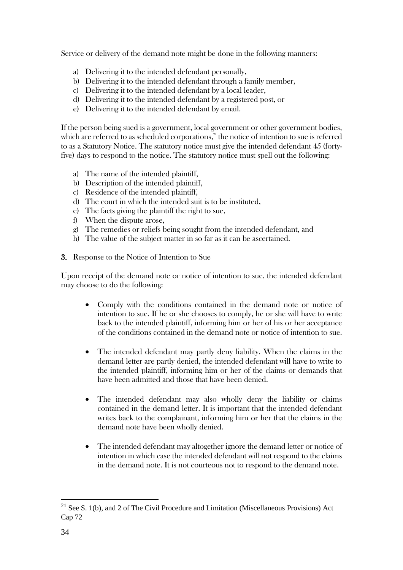Service or delivery of the demand note might be done in the following manners:

- a) Delivering it to the intended defendant personally,
- b) Delivering it to the intended defendant through a family member,
- c) Delivering it to the intended defendant by a local leader,
- d) Delivering it to the intended defendant by a registered post, or
- e) Delivering it to the intended defendant by email.

If the person being sued is a government, local government or other government bodies, which are referred to as scheduled corporations, $21$  the notice of intention to sue is referred to as a Statutory Notice. The statutory notice must give the intended defendant 45 (fortyfive) days to respond to the notice. The statutory notice must spell out the following:

- a) The name of the intended plaintiff,
- b) Description of the intended plaintiff,
- c) Residence of the intended plaintiff,
- d) The court in which the intended suit is to be instituted,
- e) The facts giving the plaintiff the right to sue,
- f) When the dispute arose,
- g) The remedies or reliefs being sought from the intended defendant, and
- h) The value of the subject matter in so far as it can be ascertained.
- 3. Response to the Notice of Intention to Sue

Upon receipt of the demand note or notice of intention to sue, the intended defendant may choose to do the following:

- Comply with the conditions contained in the demand note or notice of intention to sue. If he or she chooses to comply, he or she will have to write back to the intended plaintiff, informing him or her of his or her acceptance of the conditions contained in the demand note or notice of intention to sue.
- The intended defendant may partly deny liability. When the claims in the demand letter are partly denied, the intended defendant will have to write to the intended plaintiff, informing him or her of the claims or demands that have been admitted and those that have been denied.
- The intended defendant may also wholly deny the liability or claims contained in the demand letter. It is important that the intended defendant writes back to the complainant, informing him or her that the claims in the demand note have been wholly denied.
- The intended defendant may altogether ignore the demand letter or notice of intention in which case the intended defendant will not respond to the claims in the demand note. It is not courteous not to respond to the demand note.

 $21$  See S. 1(b), and 2 of The Civil Procedure and Limitation (Miscellaneous Provisions) Act Cap 72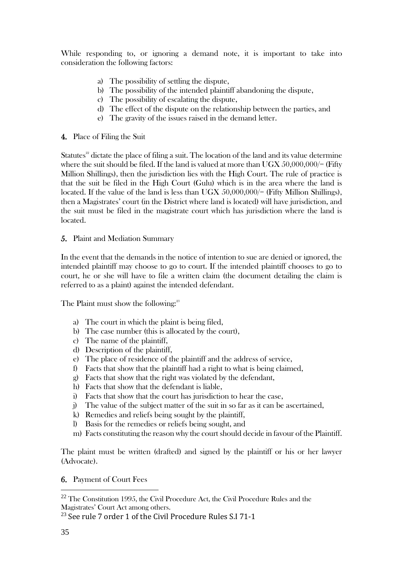While responding to, or ignoring a demand note, it is important to take into consideration the following factors:

- a) The possibility of settling the dispute,
- b) The possibility of the intended plaintiff abandoning the dispute,
- c) The possibility of escalating the dispute,
- d) The effect of the dispute on the relationship between the parties, and
- e) The gravity of the issues raised in the demand letter.
- 4. Place of Filing the Suit

Statutes<sup>22</sup> dictate the place of filing a suit. The location of the land and its value determine where the suit should be filed. If the land is valued at more than  $UGX 50,000,000/=$  (Fifty Million Shillings), then the jurisdiction lies with the High Court. The rule of practice is that the suit be filed in the High Court (Gulu) which is in the area where the land is located. If the value of the land is less than UGX 50,000,000/= (Fifty Million Shillings), then a Magistrates' court (in the District where land is located) will have jurisdiction, and the suit must be filed in the magistrate court which has jurisdiction where the land is located.

5. Plaint and Mediation Summary

In the event that the demands in the notice of intention to sue are denied or ignored, the intended plaintiff may choose to go to court. If the intended plaintiff chooses to go to court, he or she will have to file a written claim (the document detailing the claim is referred to as a plaint) against the intended defendant.

The Plaint must show the following:<sup>23</sup>

- a) The court in which the plaint is being filed,
- b) The case number (this is allocated by the court),
- c) The name of the plaintiff,
- d) Description of the plaintiff,
- e) The place of residence of the plaintiff and the address of service,
- f) Facts that show that the plaintiff had a right to what is being claimed,
- g) Facts that show that the right was violated by the defendant,
- h) Facts that show that the defendant is liable,
- i) Facts that show that the court has jurisdiction to hear the case,
- j) The value of the subject matter of the suit in so far as it can be ascertained,
- k) Remedies and reliefs being sought by the plaintiff,
- l) Basis for the remedies or reliefs being sought, and
- m) Facts constituting the reason why the court should decide in favour of the Plaintiff.

The plaint must be written (drafted) and signed by the plaintiff or his or her lawyer (Advocate).

### 6. Payment of Court Fees

<sup>22</sup> The Constitution 1995, the Civil Procedure Act, the Civil Procedure Rules and the Magistrates' Court Act among others.

 $23$  See rule 7 order 1 of the Civil Procedure Rules S.I 71-1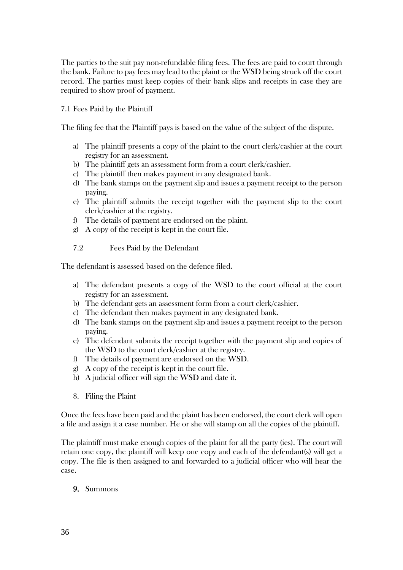The parties to the suit pay non-refundable filing fees. The fees are paid to court through the bank. Failure to pay fees may lead to the plaint or the WSD being struck off the court record. The parties must keep copies of their bank slips and receipts in case they are required to show proof of payment.

### 7.1 Fees Paid by the Plaintiff

The filing fee that the Plaintiff pays is based on the value of the subject of the dispute.

- a) The plaintiff presents a copy of the plaint to the court clerk/cashier at the court registry for an assessment.
- b) The plaintiff gets an assessment form from a court clerk/cashier.
- c) The plaintiff then makes payment in any designated bank.
- d) The bank stamps on the payment slip and issues a payment receipt to the person paying.
- e) The plaintiff submits the receipt together with the payment slip to the court clerk/cashier at the registry.
- f) The details of payment are endorsed on the plaint.
- g) A copy of the receipt is kept in the court file.

7.2 Fees Paid by the Defendant

The defendant is assessed based on the defence filed.

- a) The defendant presents a copy of the WSD to the court official at the court registry for an assessment.
- b) The defendant gets an assessment form from a court clerk/cashier.
- c) The defendant then makes payment in any designated bank.
- d) The bank stamps on the payment slip and issues a payment receipt to the person paying.
- e) The defendant submits the receipt together with the payment slip and copies of the WSD to the court clerk/cashier at the registry.
- f) The details of payment are endorsed on the WSD.
- g) A copy of the receipt is kept in the court file.
- h) A judicial officer will sign the WSD and date it.
- 8. Filing the Plaint

Once the fees have been paid and the plaint has been endorsed, the court clerk will open a file and assign it a case number. He or she will stamp on all the copies of the plaintiff.

The plaintiff must make enough copies of the plaint for all the party (ies). The court will retain one copy, the plaintiff will keep one copy and each of the defendant(s) will get a copy. The file is then assigned to and forwarded to a judicial officer who will hear the case.

#### 9. Summons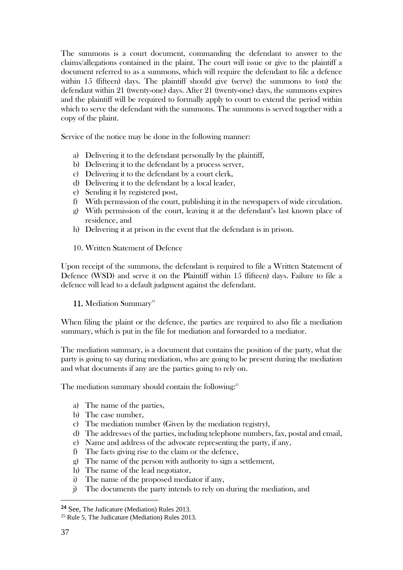The summons is a court document, commanding the defendant to answer to the claims/allegations contained in the plaint. The court will issue or give to the plaintiff a document referred to as a summons, which will require the defendant to file a defence within 15 (fifteen) days. The plaintiff should give (serve) the summons to (on) the defendant within 21 (twenty-one) days. After 21 (twenty-one) days, the summons expires and the plaintiff will be required to formally apply to court to extend the period within which to serve the defendant with the summons. The summons is served together with a copy of the plaint.

Service of the notice may be done in the following manner:

- a) Delivering it to the defendant personally by the plaintiff,
- b) Delivering it to the defendant by a process server,
- c) Delivering it to the defendant by a court clerk,
- d) Delivering it to the defendant by a local leader,
- e) Sending it by registered post,
- f) With permission of the court, publishing it in the newspapers of wide circulation.
- g) With permission of the court, leaving it at the defendant's last known place of residence, and
- h) Delivering it at prison in the event that the defendant is in prison.
- 10. Written Statement of Defence

Upon receipt of the summons, the defendant is required to file a Written Statement of Defence (WSD) and serve it on the Plaintiff within 15 (fifteen) days. Failure to file a defence will lead to a default judgment against the defendant.

11. Mediation Summary<sup>24</sup>

When filing the plaint or the defence, the parties are required to also file a mediation summary, which is put in the file for mediation and forwarded to a mediator.

The mediation summary, is a document that contains the position of the party, what the party is going to say during mediation, who are going to be present during the mediation and what documents if any are the parties going to rely on.

The mediation summary should contain the following:<sup>25</sup>

- a) The name of the parties,
- b) The case number,
- c) The mediation number (Given by the mediation registry),
- d) The addresses of the parties, including telephone numbers, fax, postal and email,
- e) Name and address of the advocate representing the party, if any,
- f) The facts giving rise to the claim or the defence,
- g) The name of the person with authority to sign a settlement,
- h) The name of the lead negotiator,
- i) The name of the proposed mediator if any,
- j) The documents the party intends to rely on during the mediation, and

**<sup>24</sup>** See, The Judicature (Mediation) Rules 2013.

<sup>25</sup> Rule 5, The Judicature (Mediation) Rules 2013.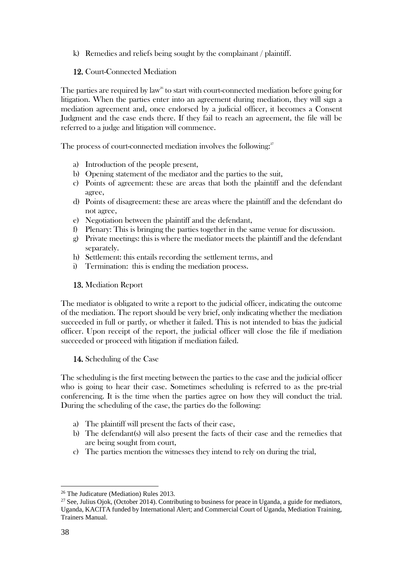k) Remedies and reliefs being sought by the complainant / plaintiff.

### 12. Court-Connected Mediation

The parties are required by law<sup>26</sup> to start with court-connected mediation before going for litigation. When the parties enter into an agreement during mediation, they will sign a mediation agreement and, once endorsed by a judicial officer, it becomes a Consent Judgment and the case ends there. If they fail to reach an agreement, the file will be referred to a judge and litigation will commence.

The process of court-connected mediation involves the following: $^{\mathit{27}}$ 

- a) Introduction of the people present,
- b) Opening statement of the mediator and the parties to the suit,
- c) Points of agreement: these are areas that both the plaintiff and the defendant agree,
- d) Points of disagreement: these are areas where the plaintiff and the defendant do not agree,
- e) Negotiation between the plaintiff and the defendant,
- f) Plenary: This is bringing the parties together in the same venue for discussion.
- g) Private meetings: this is where the mediator meets the plaintiff and the defendant separately.
- h) Settlement: this entails recording the settlement terms, and
- i) Termination: this is ending the mediation process.

### 13. Mediation Report

The mediator is obligated to write a report to the judicial officer, indicating the outcome of the mediation. The report should be very brief, only indicating whether the mediation succeeded in full or partly, or whether it failed. This is not intended to bias the judicial officer. Upon receipt of the report, the judicial officer will close the file if mediation succeeded or proceed with litigation if mediation failed.

### 14. Scheduling of the Case

The scheduling is the first meeting between the parties to the case and the judicial officer who is going to hear their case. Sometimes scheduling is referred to as the pre-trial conferencing. It is the time when the parties agree on how they will conduct the trial. During the scheduling of the case, the parties do the following:

- a) The plaintiff will present the facts of their case,
- b) The defendant(s) will also present the facts of their case and the remedies that are being sought from court,
- c) The parties mention the witnesses they intend to rely on during the trial,

<sup>26</sup> The Judicature (Mediation) Rules 2013.

<sup>&</sup>lt;sup>27</sup> See, Julius Ojok, (October 2014). Contributing to business for peace in Uganda, a guide for mediators, Uganda, KACITA funded by International Alert; and Commercial Court of Uganda, Mediation Training, Trainers Manual.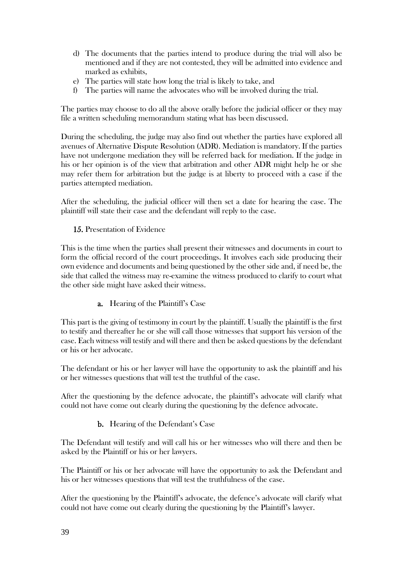- d) The documents that the parties intend to produce during the trial will also be mentioned and if they are not contested, they will be admitted into evidence and marked as exhibits,
- e) The parties will state how long the trial is likely to take, and
- f) The parties will name the advocates who will be involved during the trial.

The parties may choose to do all the above orally before the judicial officer or they may file a written scheduling memorandum stating what has been discussed.

During the scheduling, the judge may also find out whether the parties have explored all avenues of Alternative Dispute Resolution (ADR). Mediation is mandatory. If the parties have not undergone mediation they will be referred back for mediation. If the judge in his or her opinion is of the view that arbitration and other ADR might help he or she may refer them for arbitration but the judge is at liberty to proceed with a case if the parties attempted mediation.

After the scheduling, the judicial officer will then set a date for hearing the case. The plaintiff will state their case and the defendant will reply to the case.

### 15. Presentation of Evidence

This is the time when the parties shall present their witnesses and documents in court to form the official record of the court proceedings. It involves each side producing their own evidence and documents and being questioned by the other side and, if need be, the side that called the witness may re-examine the witness produced to clarify to court what the other side might have asked their witness.

a. Hearing of the Plaintiff's Case

This part is the giving of testimony in court by the plaintiff. Usually the plaintiff is the first to testify and thereafter he or she will call those witnesses that support his version of the case. Each witness will testify and will there and then be asked questions by the defendant or his or her advocate.

The defendant or his or her lawyer will have the opportunity to ask the plaintiff and his or her witnesses questions that will test the truthful of the case.

After the questioning by the defence advocate, the plaintiff's advocate will clarify what could not have come out clearly during the questioning by the defence advocate.

#### b. Hearing of the Defendant's Case

The Defendant will testify and will call his or her witnesses who will there and then be asked by the Plaintiff or his or her lawyers.

The Plaintiff or his or her advocate will have the opportunity to ask the Defendant and his or her witnesses questions that will test the truthfulness of the case.

After the questioning by the Plaintiff's advocate, the defence's advocate will clarify what could not have come out clearly during the questioning by the Plaintiff's lawyer.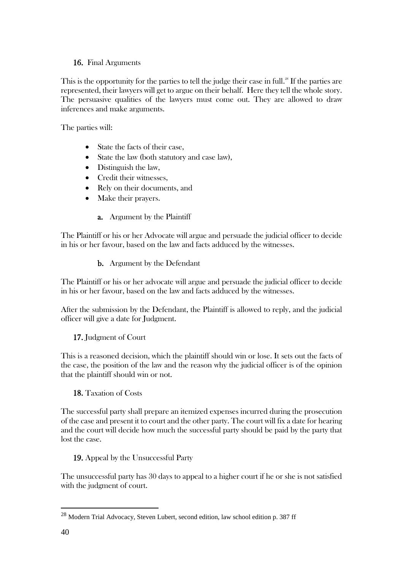### 16. Final Arguments

This is the opportunity for the parties to tell the judge their case in full. $^{\mathrm{28}}$  If the parties are represented, their lawyers will get to argue on their behalf. Here they tell the whole story. The persuasive qualities of the lawyers must come out. They are allowed to draw inferences and make arguments.

The parties will:

- State the facts of their case,
- State the law (both statutory and case law),
- Distinguish the law,
- Credit their witnesses,
- Rely on their documents, and
- Make their prayers.
	- a. Argument by the Plaintiff

The Plaintiff or his or her Advocate will argue and persuade the judicial officer to decide in his or her favour, based on the law and facts adduced by the witnesses.

b. Argument by the Defendant

The Plaintiff or his or her advocate will argue and persuade the judicial officer to decide in his or her favour, based on the law and facts adduced by the witnesses.

After the submission by the Defendant, the Plaintiff is allowed to reply, and the judicial officer will give a date for Judgment.

### 17. Judgment of Court

This is a reasoned decision, which the plaintiff should win or lose. It sets out the facts of the case, the position of the law and the reason why the judicial officer is of the opinion that the plaintiff should win or not.

### 18. Taxation of Costs

The successful party shall prepare an itemized expenses incurred during the prosecution of the case and present it to court and the other party. The court will fix a date for hearing and the court will decide how much the successful party should be paid by the party that lost the case.

### 19. Appeal by the Unsuccessful Party

The unsuccessful party has 30 days to appeal to a higher court if he or she is not satisfied with the judgment of court.

<sup>28</sup> Modern Trial Advocacy, Steven Lubert, second edition, law school edition p. 387 ff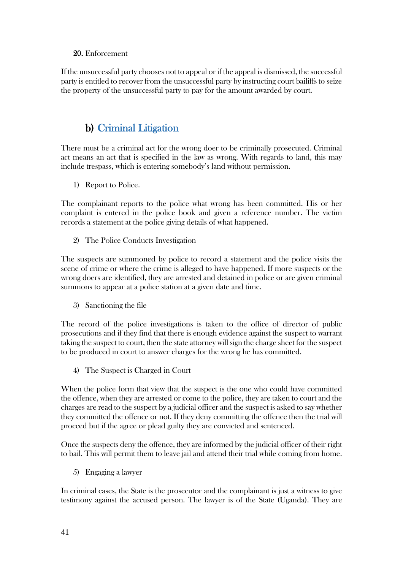### 20. Enforcement

If the unsuccessful party chooses not to appeal or if the appeal is dismissed, the successful party is entitled to recover from the unsuccessful party by instructing court bailiffs to seize the property of the unsuccessful party to pay for the amount awarded by court.

## <span id="page-50-0"></span>b) Criminal Litigation

There must be a criminal act for the wrong doer to be criminally prosecuted. Criminal act means an act that is specified in the law as wrong. With regards to land, this may include trespass, which is entering somebody's land without permission.

1) Report to Police.

The complainant reports to the police what wrong has been committed. His or her complaint is entered in the police book and given a reference number. The victim records a statement at the police giving details of what happened.

2) The Police Conducts Investigation

The suspects are summoned by police to record a statement and the police visits the scene of crime or where the crime is alleged to have happened. If more suspects or the wrong doers are identified, they are arrested and detained in police or are given criminal summons to appear at a police station at a given date and time.

3) Sanctioning the file

The record of the police investigations is taken to the office of director of public prosecutions and if they find that there is enough evidence against the suspect to warrant taking the suspect to court, then the state attorney will sign the charge sheet for the suspect to be produced in court to answer charges for the wrong he has committed.

4) The Suspect is Charged in Court

When the police form that view that the suspect is the one who could have committed the offence, when they are arrested or come to the police, they are taken to court and the charges are read to the suspect by a judicial officer and the suspect is asked to say whether they committed the offence or not. If they deny committing the offence then the trial will procced but if the agree or plead guilty they are convicted and sentenced.

Once the suspects deny the offence, they are informed by the judicial officer of their right to bail. This will permit them to leave jail and attend their trial while coming from home.

5) Engaging a lawyer

In criminal cases, the State is the prosecutor and the complainant is just a witness to give testimony against the accused person. The lawyer is of the State (Uganda). They are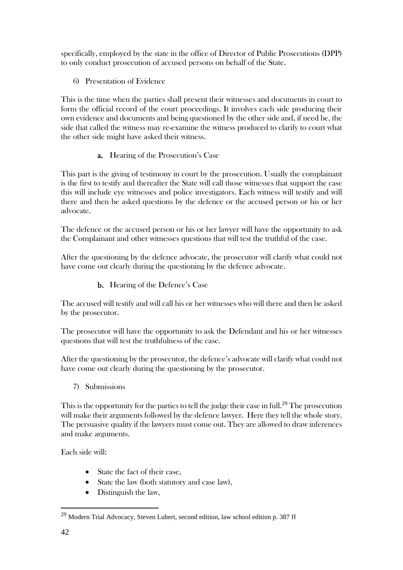specifically, employed by the state in the office of Director of Public Prosecutions (DPP) to only conduct prosecution of accused persons on behalf of the State.

6) Presentation of Evidence

This is the time when the parties shall present their witnesses and documents in court to form the official record of the court proceedings. It involves each side producing their own evidence and documents and being questioned by the other side and, if need be, the side that called the witness may re-examine the witness produced to clarify to court what the other side might have asked their witness.

### a. Hearing of the Prosecution's Case

This part is the giving of testimony in court by the prosecution. Usually the complainant is the first to testify and thereafter the State will call those witnesses that support the case this will include eye witnesses and police investigators. Each witness will testify and will there and then be asked questions by the defence or the accused person or his or her advocate.

The defence or the accused person or his or her lawyer will have the opportunity to ask the Complainant and other witnesses questions that will test the truthful of the case.

After the questioning by the defence advocate, the prosecutor will clarify what could not have come out clearly during the questioning by the defence advocate.

b. Hearing of the Defence's Case

The accused will testify and will call his or her witnesses who will there and then be asked by the prosecutor.

The prosecutor will have the opportunity to ask the Defendant and his or her witnesses questions that will test the truthfulness of the case.

After the questioning by the prosecutor, the defence's advocate will clarify what could not have come out clearly during the questioning by the prosecutor.

7) Submissions

This is the opportunity for the parties to tell the judge their case in full. $^{29}$  The prosecution will make their arguments followed by the defence lawyer. Here they tell the whole story. The persuasive quality if the lawyers must come out. They are allowed to draw inferences and make arguments.

Each side will:

- State the fact of their case,
- State the law (both statutory and case law),
- Distinguish the law,

<sup>29</sup> Modern Trial Advocacy, Steven Lubert, second edition, law school edition p. 387 ff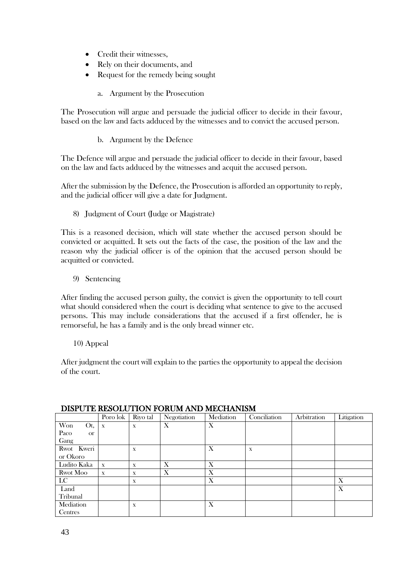- Credit their witnesses,
- Rely on their documents, and
- Request for the remedy being sought
	- a. Argument by the Prosecution

The Prosecution will argue and persuade the judicial officer to decide in their favour, based on the law and facts adduced by the witnesses and to convict the accused person.

b. Argument by the Defence

The Defence will argue and persuade the judicial officer to decide in their favour, based on the law and facts adduced by the witnesses and acquit the accused person.

After the submission by the Defence, the Prosecution is afforded an opportunity to reply, and the judicial officer will give a date for Judgment.

8) Judgment of Court (Judge or Magistrate)

This is a reasoned decision, which will state whether the accused person should be convicted or acquitted. It sets out the facts of the case, the position of the law and the reason why the judicial officer is of the opinion that the accused person should be acquitted or convicted.

9) Sentencing

After finding the accused person guilty, the convict is given the opportunity to tell court what should considered when the court is deciding what sentence to give to the accused persons. This may include considerations that the accused if a first offender, he is remorseful, he has a family and is the only bread winner etc.

10) Appeal

After judgment the court will explain to the parties the opportunity to appeal the decision of the court.

| <u>DISI O I D'IGSOLIO I ION I OROM HI (D'IMDOILLE MOME</u> |             |             |             |           |              |             |            |
|------------------------------------------------------------|-------------|-------------|-------------|-----------|--------------|-------------|------------|
|                                                            | Poro lok    | Riyo tal    | Negotiation | Mediation | Conciliation | Arbitration | Litigation |
| <b>Won</b><br>Ot,                                          | $\mathbf x$ | $\mathbf X$ | X           | X         |              |             |            |
| Paco<br><b>or</b>                                          |             |             |             |           |              |             |            |
| Gang                                                       |             |             |             |           |              |             |            |
| Rwot Kweri                                                 |             | $\mathbf x$ |             | X         | $\mathbf X$  |             |            |
| or Okoro                                                   |             |             |             |           |              |             |            |
| Ludito Kaka                                                | $\mathbf x$ | $\mathbf x$ | Х           | X         |              |             |            |
| Rwot Moo                                                   | $\mathbf X$ | $\mathbf x$ | X           | X         |              |             |            |
| $_{\rm LC}$                                                |             | $\mathbf x$ |             | X         |              |             | X          |
| Land                                                       |             |             |             |           |              |             | X          |
| Tribunal                                                   |             |             |             |           |              |             |            |
| Mediation                                                  |             | X           |             | X         |              |             |            |
| Centres                                                    |             |             |             |           |              |             |            |

#### DISPUTE RESOLUTION FORUM AND MECHANISM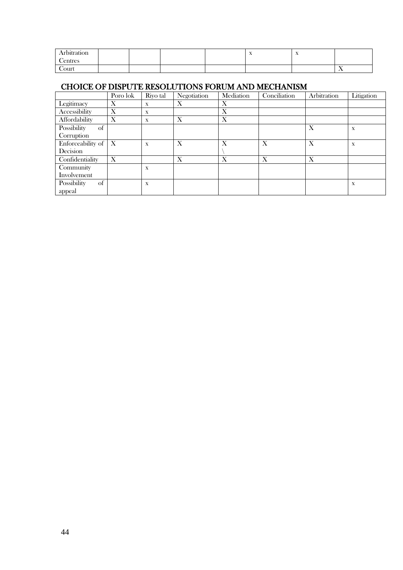| \rbitration   |  |  | $\overline{\phantom{a}}$ | $\overline{1}$ |                |
|---------------|--|--|--------------------------|----------------|----------------|
| <b>entres</b> |  |  |                          |                |                |
| Court         |  |  |                          |                | $\overline{1}$ |

### CHOICE OF DISPUTE RESOLUTIONS FORUM AND MECHANISM

|                                 | Poro lok | Riyo tal    | Negotiation | Mediation | Conciliation | Arbitration | Litigation  |
|---------------------------------|----------|-------------|-------------|-----------|--------------|-------------|-------------|
| Legitimacy                      | X        | $\mathbf X$ | X           | Х         |              |             |             |
| Accessibility                   | X        | $\mathbf x$ |             | Х         |              |             |             |
| Affordability                   | X        | $\mathbf x$ | X           | X         |              |             |             |
| Possibility<br>of               |          |             |             |           |              | X           | X           |
| Corruption                      |          |             |             |           |              |             |             |
| Enforceability of $\mid X \mid$ |          | X           | X           | X         | X            | X           | $\mathbf X$ |
| Decision                        |          |             |             |           |              |             |             |
| Confidentiality                 | X        |             | X           | X         | X            | X           |             |
| Community                       |          | X           |             |           |              |             |             |
| Involvement                     |          |             |             |           |              |             |             |
| Possibility<br>of               |          | $\mathbf x$ |             |           |              |             | $\mathbf X$ |
| appeal                          |          |             |             |           |              |             |             |